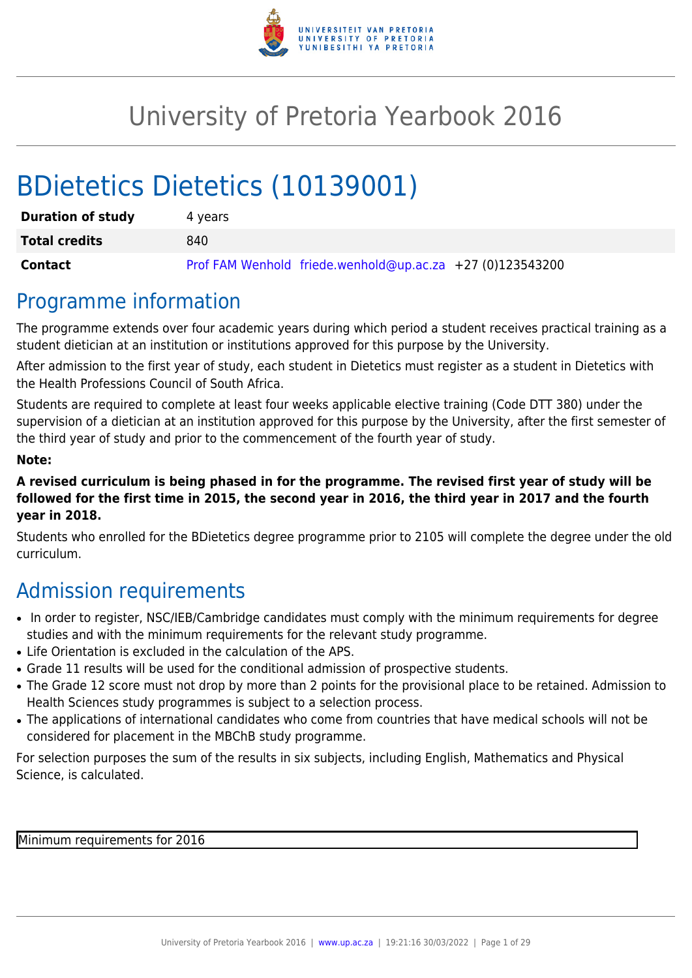

# University of Pretoria Yearbook 2016

# BDietetics Dietetics (10139001)

| <b>Duration of study</b> | 4 vears                                                     |
|--------------------------|-------------------------------------------------------------|
| <b>Total credits</b>     | 840                                                         |
| Contact                  | Prof FAM Wenhold friede.wenhold@up.ac.za $+27$ (0)123543200 |

### Programme information

The programme extends over four academic years during which period a student receives practical training as a student dietician at an institution or institutions approved for this purpose by the University.

After admission to the first year of study, each student in Dietetics must register as a student in Dietetics with the Health Professions Council of South Africa.

Students are required to complete at least four weeks applicable elective training (Code DTT 380) under the supervision of a dietician at an institution approved for this purpose by the University, after the first semester of the third year of study and prior to the commencement of the fourth year of study.

#### **Note:**

**A revised curriculum is being phased in for the programme. The revised first year of study will be followed for the first time in 2015, the second year in 2016, the third year in 2017 and the fourth year in 2018.**

Students who enrolled for the BDietetics degree programme prior to 2105 will complete the degree under the old curriculum.

# Admission requirements

- In order to register, NSC/IEB/Cambridge candidates must comply with the minimum requirements for degree studies and with the minimum requirements for the relevant study programme.
- Life Orientation is excluded in the calculation of the APS.
- Grade 11 results will be used for the conditional admission of prospective students.
- The Grade 12 score must not drop by more than 2 points for the provisional place to be retained. Admission to Health Sciences study programmes is subject to a selection process.
- The applications of international candidates who come from countries that have medical schools will not be considered for placement in the MBChB study programme.

For selection purposes the sum of the results in six subjects, including English, Mathematics and Physical Science, is calculated.

Minimum requirements for 2016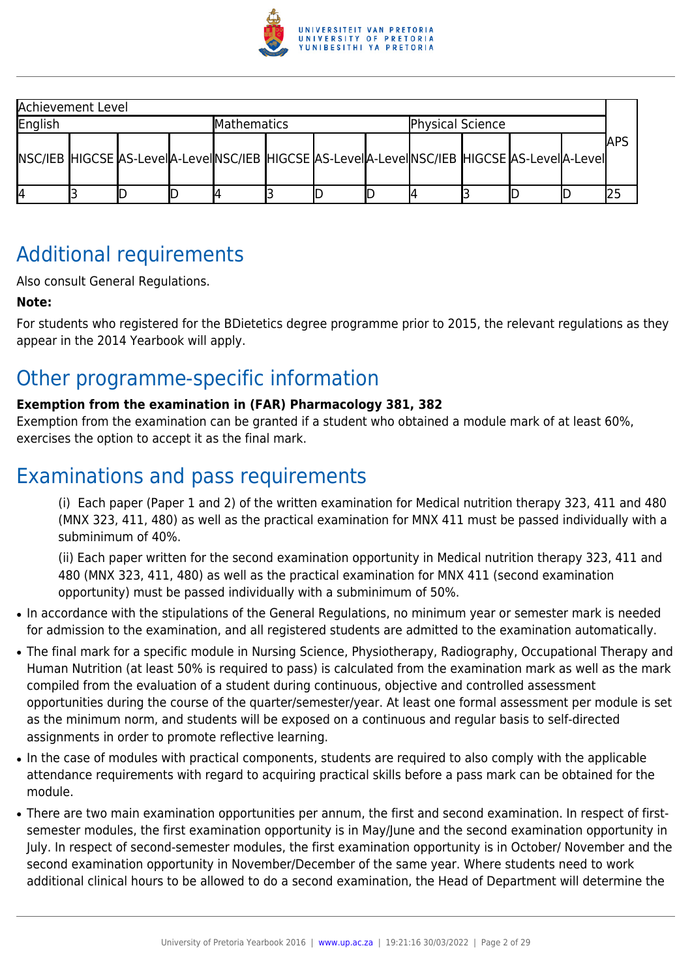

| Achievement Level                                                                                 |  |  |                    |  |  |                         |  |  |  |  |  |      |
|---------------------------------------------------------------------------------------------------|--|--|--------------------|--|--|-------------------------|--|--|--|--|--|------|
| English                                                                                           |  |  | <b>Mathematics</b> |  |  | <b>Physical Science</b> |  |  |  |  |  |      |
| NSC/IEB HIGCSE AS-Level A-Level NSC/IEB  HIGCSE AS-Level A-Level NSC/IEB  HIGCSE AS-Level A-Level |  |  |                    |  |  |                         |  |  |  |  |  | IAPS |
| 14                                                                                                |  |  |                    |  |  |                         |  |  |  |  |  |      |

# Additional requirements

Also consult General Regulations.

#### **Note:**

For students who registered for the BDietetics degree programme prior to 2015, the relevant regulations as they appear in the 2014 Yearbook will apply.

# Other programme-specific information

#### **Exemption from the examination in (FAR) Pharmacology 381, 382**

Exemption from the examination can be granted if a student who obtained a module mark of at least 60%, exercises the option to accept it as the final mark.

# Examinations and pass requirements

(i) Each paper (Paper 1 and 2) of the written examination for Medical nutrition therapy 323, 411 and 480 (MNX 323, 411, 480) as well as the practical examination for MNX 411 must be passed individually with a subminimum of 40%.

(ii) Each paper written for the second examination opportunity in Medical nutrition therapy 323, 411 and 480 (MNX 323, 411, 480) as well as the practical examination for MNX 411 (second examination opportunity) must be passed individually with a subminimum of 50%.

- In accordance with the stipulations of the General Regulations, no minimum year or semester mark is needed for admission to the examination, and all registered students are admitted to the examination automatically.
- The final mark for a specific module in Nursing Science, Physiotherapy, Radiography, Occupational Therapy and Human Nutrition (at least 50% is required to pass) is calculated from the examination mark as well as the mark compiled from the evaluation of a student during continuous, objective and controlled assessment opportunities during the course of the quarter/semester/year. At least one formal assessment per module is set as the minimum norm, and students will be exposed on a continuous and regular basis to self-directed assignments in order to promote reflective learning.
- In the case of modules with practical components, students are required to also comply with the applicable attendance requirements with regard to acquiring practical skills before a pass mark can be obtained for the module.
- There are two main examination opportunities per annum, the first and second examination. In respect of firstsemester modules, the first examination opportunity is in May/June and the second examination opportunity in July. In respect of second-semester modules, the first examination opportunity is in October/ November and the second examination opportunity in November/December of the same year. Where students need to work additional clinical hours to be allowed to do a second examination, the Head of Department will determine the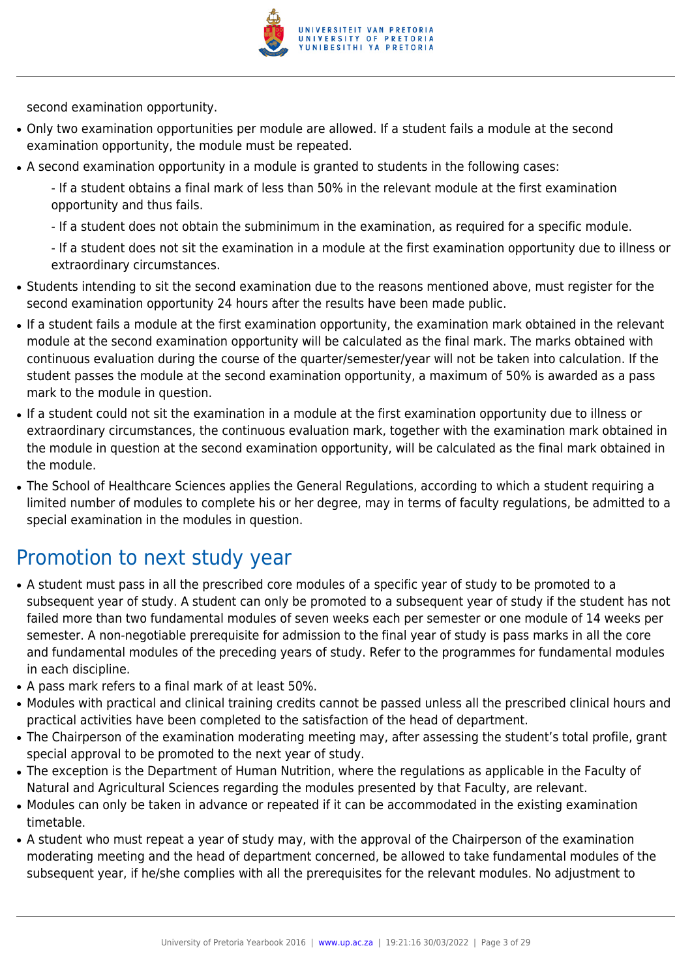

second examination opportunity.

- Only two examination opportunities per module are allowed. If a student fails a module at the second examination opportunity, the module must be repeated.
- A second examination opportunity in a module is granted to students in the following cases:

- If a student obtains a final mark of less than 50% in the relevant module at the first examination opportunity and thus fails.

- If a student does not obtain the subminimum in the examination, as required for a specific module.

- If a student does not sit the examination in a module at the first examination opportunity due to illness or extraordinary circumstances.

- Students intending to sit the second examination due to the reasons mentioned above, must register for the second examination opportunity 24 hours after the results have been made public.
- If a student fails a module at the first examination opportunity, the examination mark obtained in the relevant module at the second examination opportunity will be calculated as the final mark. The marks obtained with continuous evaluation during the course of the quarter/semester/year will not be taken into calculation. If the student passes the module at the second examination opportunity, a maximum of 50% is awarded as a pass mark to the module in question.
- If a student could not sit the examination in a module at the first examination opportunity due to illness or extraordinary circumstances, the continuous evaluation mark, together with the examination mark obtained in the module in question at the second examination opportunity, will be calculated as the final mark obtained in the module.
- The School of Healthcare Sciences applies the General Regulations, according to which a student requiring a limited number of modules to complete his or her degree, may in terms of faculty regulations, be admitted to a special examination in the modules in question.

# Promotion to next study year

- A student must pass in all the prescribed core modules of a specific year of study to be promoted to a subsequent year of study. A student can only be promoted to a subsequent year of study if the student has not failed more than two fundamental modules of seven weeks each per semester or one module of 14 weeks per semester. A non-negotiable prerequisite for admission to the final year of study is pass marks in all the core and fundamental modules of the preceding years of study. Refer to the programmes for fundamental modules in each discipline.
- A pass mark refers to a final mark of at least 50%.
- Modules with practical and clinical training credits cannot be passed unless all the prescribed clinical hours and practical activities have been completed to the satisfaction of the head of department.
- The Chairperson of the examination moderating meeting may, after assessing the student's total profile, grant special approval to be promoted to the next year of study.
- The exception is the Department of Human Nutrition, where the regulations as applicable in the Faculty of Natural and Agricultural Sciences regarding the modules presented by that Faculty, are relevant.
- Modules can only be taken in advance or repeated if it can be accommodated in the existing examination timetable.
- A student who must repeat a year of study may, with the approval of the Chairperson of the examination moderating meeting and the head of department concerned, be allowed to take fundamental modules of the subsequent year, if he/she complies with all the prerequisites for the relevant modules. No adjustment to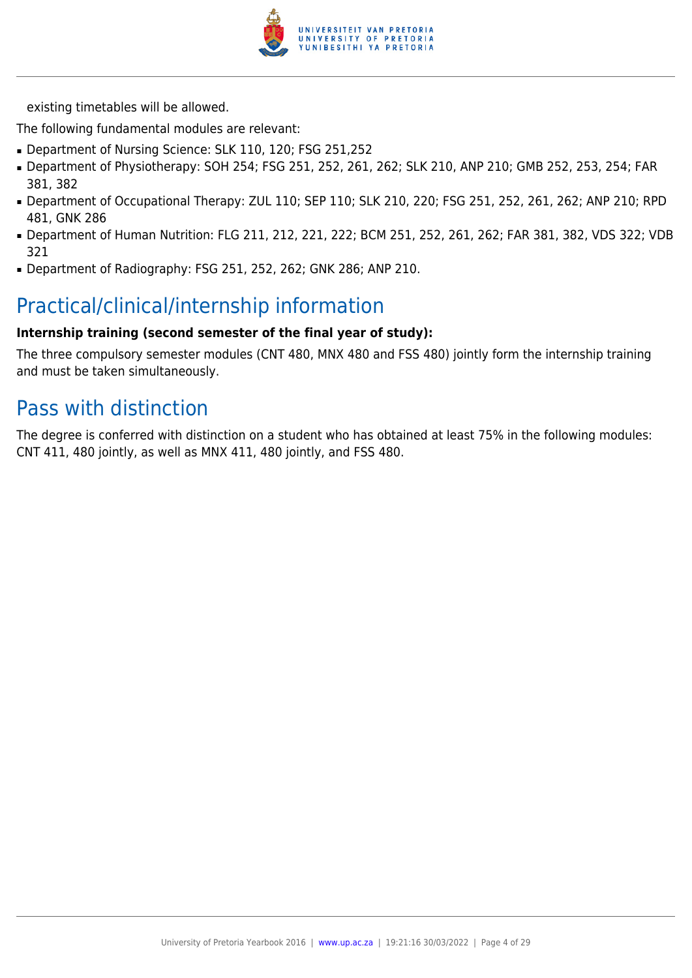

existing timetables will be allowed.

The following fundamental modules are relevant:

- Department of Nursing Science: SLK 110, 120; FSG 251,252
- Department of Physiotherapy: SOH 254; FSG 251, 252, 261, 262; SLK 210, ANP 210; GMB 252, 253, 254; FAR 381, 382
- Department of Occupational Therapy: ZUL 110; SEP 110; SLK 210, 220; FSG 251, 252, 261, 262; ANP 210; RPD 481, GNK 286
- Department of Human Nutrition: FLG 211, 212, 221, 222; BCM 251, 252, 261, 262; FAR 381, 382, VDS 322; VDB 321
- Department of Radiography: FSG 251, 252, 262; GNK 286; ANP 210.

# Practical/clinical/internship information

#### **Internship training (second semester of the final year of study):**

The three compulsory semester modules (CNT 480, MNX 480 and FSS 480) jointly form the internship training and must be taken simultaneously.

# Pass with distinction

The degree is conferred with distinction on a student who has obtained at least 75% in the following modules: CNT 411, 480 jointly, as well as MNX 411, 480 jointly, and FSS 480.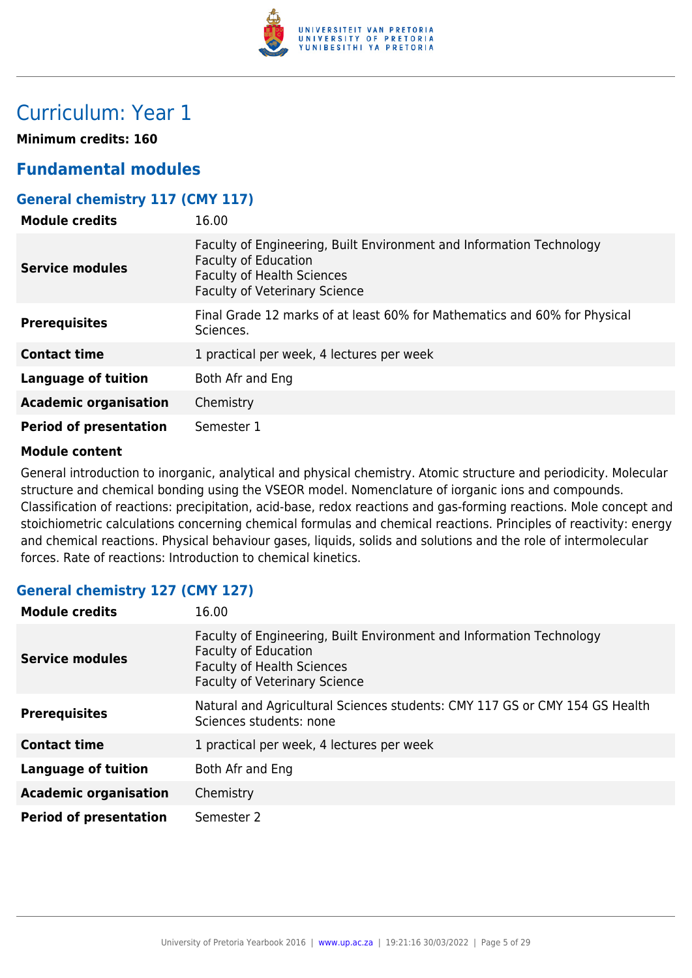

# Curriculum: Year 1

**Minimum credits: 160**

### **Fundamental modules**

#### **General chemistry 117 (CMY 117)**

| <b>Module credits</b>         | 16.00                                                                                                                                                                            |
|-------------------------------|----------------------------------------------------------------------------------------------------------------------------------------------------------------------------------|
| <b>Service modules</b>        | Faculty of Engineering, Built Environment and Information Technology<br><b>Faculty of Education</b><br><b>Faculty of Health Sciences</b><br><b>Faculty of Veterinary Science</b> |
| <b>Prerequisites</b>          | Final Grade 12 marks of at least 60% for Mathematics and 60% for Physical<br>Sciences.                                                                                           |
| <b>Contact time</b>           | 1 practical per week, 4 lectures per week                                                                                                                                        |
| <b>Language of tuition</b>    | Both Afr and Eng                                                                                                                                                                 |
| <b>Academic organisation</b>  | Chemistry                                                                                                                                                                        |
| <b>Period of presentation</b> | Semester 1                                                                                                                                                                       |

#### **Module content**

General introduction to inorganic, analytical and physical chemistry. Atomic structure and periodicity. Molecular structure and chemical bonding using the VSEOR model. Nomenclature of iorganic ions and compounds. Classification of reactions: precipitation, acid-base, redox reactions and gas-forming reactions. Mole concept and stoichiometric calculations concerning chemical formulas and chemical reactions. Principles of reactivity: energy and chemical reactions. Physical behaviour gases, liquids, solids and solutions and the role of intermolecular forces. Rate of reactions: Introduction to chemical kinetics.

#### **General chemistry 127 (CMY 127)**

| <b>Module credits</b>         | 16.00                                                                                                                                                                            |
|-------------------------------|----------------------------------------------------------------------------------------------------------------------------------------------------------------------------------|
| Service modules               | Faculty of Engineering, Built Environment and Information Technology<br><b>Faculty of Education</b><br><b>Faculty of Health Sciences</b><br><b>Faculty of Veterinary Science</b> |
| <b>Prerequisites</b>          | Natural and Agricultural Sciences students: CMY 117 GS or CMY 154 GS Health<br>Sciences students: none                                                                           |
| <b>Contact time</b>           | 1 practical per week, 4 lectures per week                                                                                                                                        |
| Language of tuition           | Both Afr and Eng                                                                                                                                                                 |
| <b>Academic organisation</b>  | Chemistry                                                                                                                                                                        |
| <b>Period of presentation</b> | Semester 2                                                                                                                                                                       |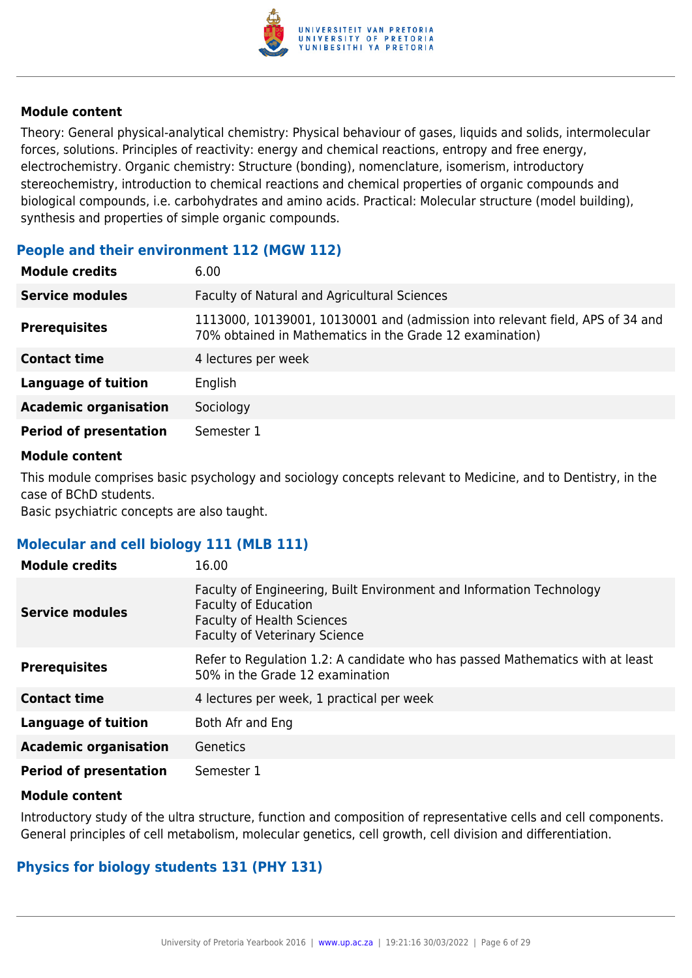

Theory: General physical-analytical chemistry: Physical behaviour of gases, liquids and solids, intermolecular forces, solutions. Principles of reactivity: energy and chemical reactions, entropy and free energy, electrochemistry. Organic chemistry: Structure (bonding), nomenclature, isomerism, introductory stereochemistry, introduction to chemical reactions and chemical properties of organic compounds and biological compounds, i.e. carbohydrates and amino acids. Practical: Molecular structure (model building), synthesis and properties of simple organic compounds.

#### **People and their environment 112 (MGW 112)**

| <b>Module credits</b>         | 6.00                                                                                                                                      |
|-------------------------------|-------------------------------------------------------------------------------------------------------------------------------------------|
| <b>Service modules</b>        | <b>Faculty of Natural and Agricultural Sciences</b>                                                                                       |
| <b>Prerequisites</b>          | 1113000, 10139001, 10130001 and (admission into relevant field, APS of 34 and<br>70% obtained in Mathematics in the Grade 12 examination) |
| <b>Contact time</b>           | 4 lectures per week                                                                                                                       |
| <b>Language of tuition</b>    | English                                                                                                                                   |
| <b>Academic organisation</b>  | Sociology                                                                                                                                 |
| <b>Period of presentation</b> | Semester 1                                                                                                                                |

#### **Module content**

This module comprises basic psychology and sociology concepts relevant to Medicine, and to Dentistry, in the case of BChD students.

Basic psychiatric concepts are also taught.

#### **Molecular and cell biology 111 (MLB 111)**

| <b>Module credits</b>         | 16.00                                                                                                                                                                            |
|-------------------------------|----------------------------------------------------------------------------------------------------------------------------------------------------------------------------------|
| <b>Service modules</b>        | Faculty of Engineering, Built Environment and Information Technology<br><b>Faculty of Education</b><br><b>Faculty of Health Sciences</b><br><b>Faculty of Veterinary Science</b> |
| <b>Prerequisites</b>          | Refer to Regulation 1.2: A candidate who has passed Mathematics with at least<br>50% in the Grade 12 examination                                                                 |
| <b>Contact time</b>           | 4 lectures per week, 1 practical per week                                                                                                                                        |
| <b>Language of tuition</b>    | Both Afr and Eng                                                                                                                                                                 |
| <b>Academic organisation</b>  | Genetics                                                                                                                                                                         |
| <b>Period of presentation</b> | Semester 1                                                                                                                                                                       |

#### **Module content**

Introductory study of the ultra structure, function and composition of representative cells and cell components. General principles of cell metabolism, molecular genetics, cell growth, cell division and differentiation.

#### **Physics for biology students 131 (PHY 131)**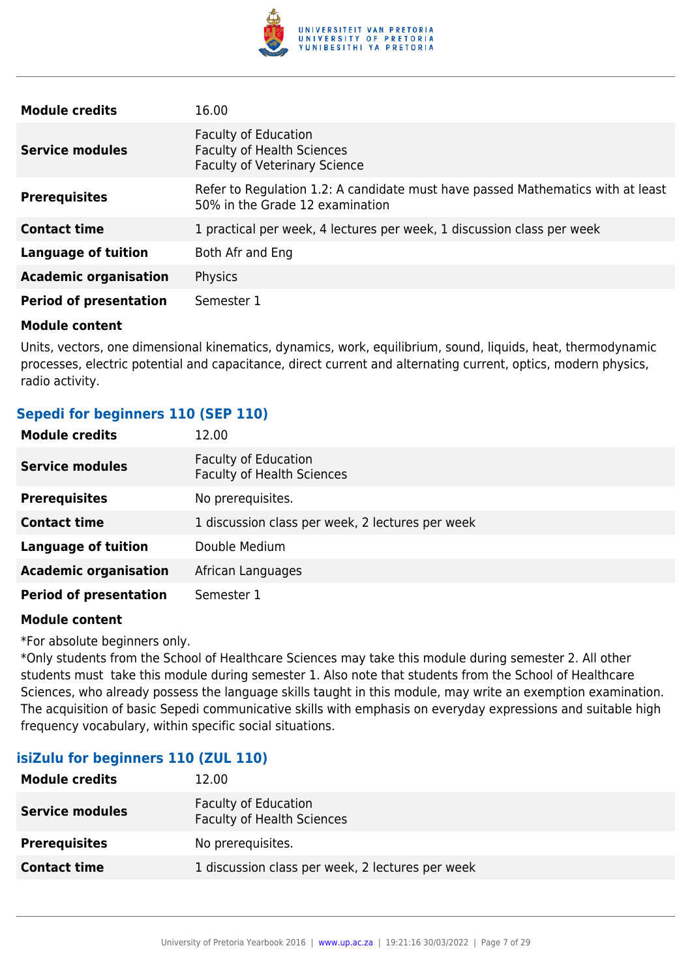

| <b>Module credits</b>         | 16.00                                                                                                              |
|-------------------------------|--------------------------------------------------------------------------------------------------------------------|
| <b>Service modules</b>        | <b>Faculty of Education</b><br><b>Faculty of Health Sciences</b><br><b>Faculty of Veterinary Science</b>           |
| <b>Prerequisites</b>          | Refer to Regulation 1.2: A candidate must have passed Mathematics with at least<br>50% in the Grade 12 examination |
| <b>Contact time</b>           | 1 practical per week, 4 lectures per week, 1 discussion class per week                                             |
| <b>Language of tuition</b>    | Both Afr and Eng                                                                                                   |
| <b>Academic organisation</b>  | Physics                                                                                                            |
| <b>Period of presentation</b> | Semester 1                                                                                                         |

Units, vectors, one dimensional kinematics, dynamics, work, equilibrium, sound, liquids, heat, thermodynamic processes, electric potential and capacitance, direct current and alternating current, optics, modern physics, radio activity.

#### **Sepedi for beginners 110 (SEP 110)**

| <b>Module credits</b>         | 12.00                                                            |
|-------------------------------|------------------------------------------------------------------|
| <b>Service modules</b>        | <b>Faculty of Education</b><br><b>Faculty of Health Sciences</b> |
| <b>Prerequisites</b>          | No prerequisites.                                                |
| <b>Contact time</b>           | 1 discussion class per week, 2 lectures per week                 |
| <b>Language of tuition</b>    | Double Medium                                                    |
| <b>Academic organisation</b>  | African Languages                                                |
| <b>Period of presentation</b> | Semester 1                                                       |

#### **Module content**

\*For absolute beginners only.

\*Only students from the School of Healthcare Sciences may take this module during semester 2. All other students must take this module during semester 1. Also note that students from the School of Healthcare Sciences, who already possess the language skills taught in this module, may write an exemption examination. The acquisition of basic Sepedi communicative skills with emphasis on everyday expressions and suitable high frequency vocabulary, within specific social situations.

#### **isiZulu for beginners 110 (ZUL 110)**

| <b>Module credits</b>  | 12.00                                                            |
|------------------------|------------------------------------------------------------------|
| <b>Service modules</b> | <b>Faculty of Education</b><br><b>Faculty of Health Sciences</b> |
| <b>Prerequisites</b>   | No prerequisites.                                                |
| <b>Contact time</b>    | 1 discussion class per week, 2 lectures per week                 |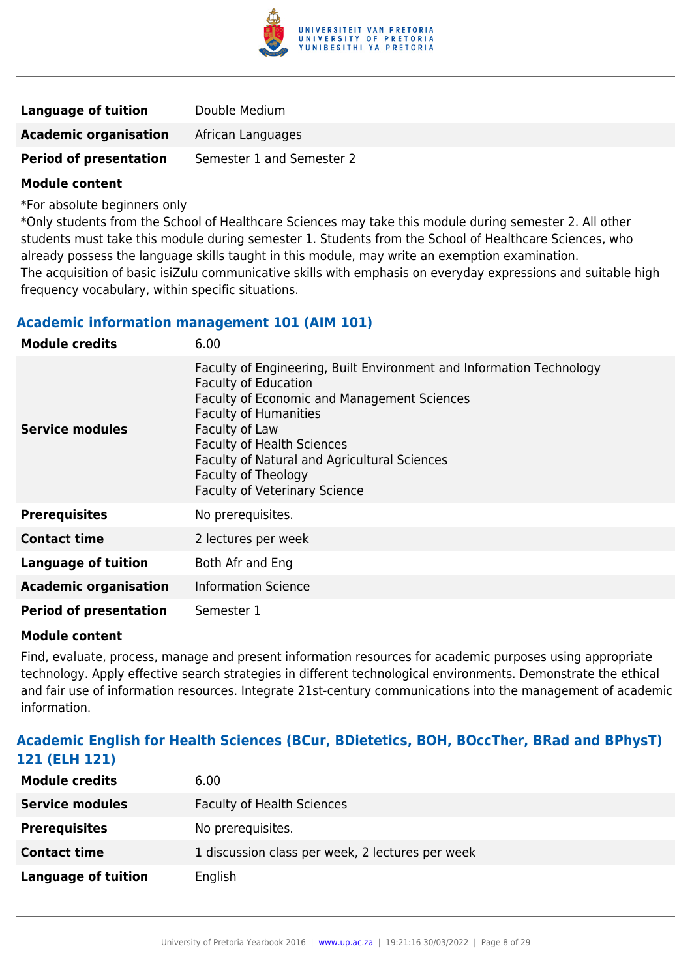

| Language of tuition           | Double Medium             |
|-------------------------------|---------------------------|
| <b>Academic organisation</b>  | African Languages         |
| <b>Period of presentation</b> | Semester 1 and Semester 2 |

\*For absolute beginners only

\*Only students from the School of Healthcare Sciences may take this module during semester 2. All other students must take this module during semester 1. Students from the School of Healthcare Sciences, who already possess the language skills taught in this module, may write an exemption examination. The acquisition of basic isiZulu communicative skills with emphasis on everyday expressions and suitable high frequency vocabulary, within specific situations.

#### **Academic information management 101 (AIM 101)**

| <b>Module credits</b>         | 6.00                                                                                                                                                                                                                                                                                                                                                     |
|-------------------------------|----------------------------------------------------------------------------------------------------------------------------------------------------------------------------------------------------------------------------------------------------------------------------------------------------------------------------------------------------------|
| <b>Service modules</b>        | Faculty of Engineering, Built Environment and Information Technology<br><b>Faculty of Education</b><br>Faculty of Economic and Management Sciences<br><b>Faculty of Humanities</b><br>Faculty of Law<br><b>Faculty of Health Sciences</b><br>Faculty of Natural and Agricultural Sciences<br>Faculty of Theology<br><b>Faculty of Veterinary Science</b> |
| <b>Prerequisites</b>          | No prerequisites.                                                                                                                                                                                                                                                                                                                                        |
| <b>Contact time</b>           | 2 lectures per week                                                                                                                                                                                                                                                                                                                                      |
| <b>Language of tuition</b>    | Both Afr and Eng                                                                                                                                                                                                                                                                                                                                         |
| <b>Academic organisation</b>  | <b>Information Science</b>                                                                                                                                                                                                                                                                                                                               |
| <b>Period of presentation</b> | Semester 1                                                                                                                                                                                                                                                                                                                                               |

#### **Module content**

Find, evaluate, process, manage and present information resources for academic purposes using appropriate technology. Apply effective search strategies in different technological environments. Demonstrate the ethical and fair use of information resources. Integrate 21st-century communications into the management of academic information.

#### **Academic English for Health Sciences (BCur, BDietetics, BOH, BOccTher, BRad and BPhysT) 121 (ELH 121)**

| <b>Module credits</b>      | 6.00                                             |
|----------------------------|--------------------------------------------------|
| <b>Service modules</b>     | <b>Faculty of Health Sciences</b>                |
| <b>Prerequisites</b>       | No prerequisites.                                |
| <b>Contact time</b>        | 1 discussion class per week, 2 lectures per week |
| <b>Language of tuition</b> | English                                          |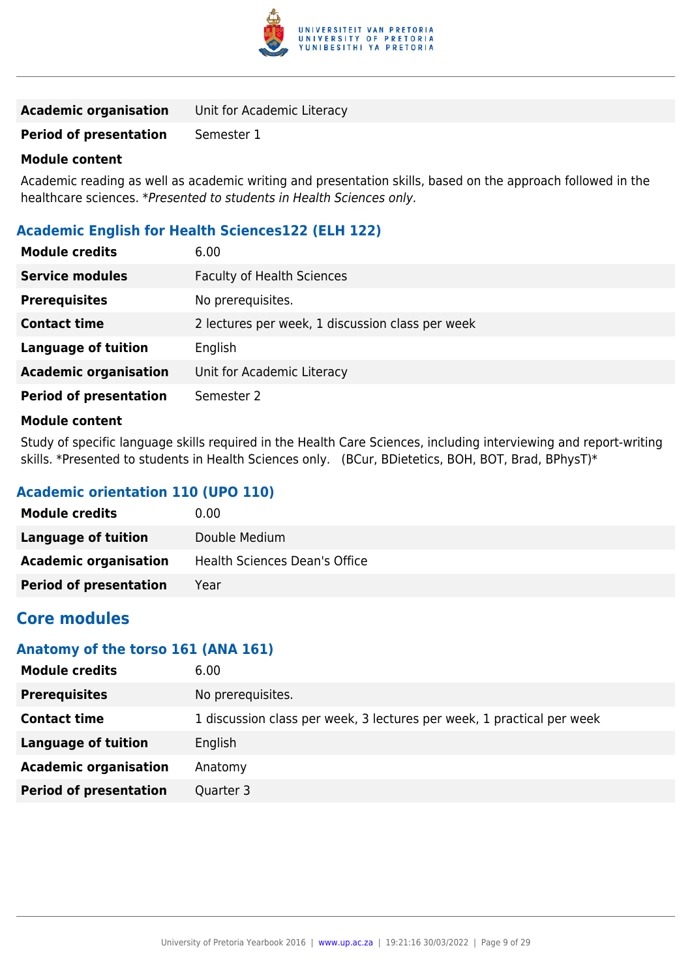

| <b>Academic organisation</b> | Unit for Academic Literacy |
|------------------------------|----------------------------|
|------------------------------|----------------------------|

**Period of presentation** Semester 1

#### **Module content**

Academic reading as well as academic writing and presentation skills, based on the approach followed in the healthcare sciences. \*Presented to students in Health Sciences only.

#### **Academic English for Health Sciences122 (ELH 122)**

| <b>Module credits</b>         | 6.00                                             |
|-------------------------------|--------------------------------------------------|
| <b>Service modules</b>        | <b>Faculty of Health Sciences</b>                |
| <b>Prerequisites</b>          | No prerequisites.                                |
| <b>Contact time</b>           | 2 lectures per week, 1 discussion class per week |
| <b>Language of tuition</b>    | English                                          |
| <b>Academic organisation</b>  | Unit for Academic Literacy                       |
| <b>Period of presentation</b> | Semester 2                                       |
|                               |                                                  |

#### **Module content**

Study of specific language skills required in the Health Care Sciences, including interviewing and report-writing skills. \*Presented to students in Health Sciences only. (BCur, BDietetics, BOH, BOT, Brad, BPhysT)\*

#### **Academic orientation 110 (UPO 110)**

| <b>Module credits</b>         | 0.00                          |
|-------------------------------|-------------------------------|
| Language of tuition           | Double Medium                 |
| <b>Academic organisation</b>  | Health Sciences Dean's Office |
| <b>Period of presentation</b> | Year                          |

### **Core modules**

#### **Anatomy of the torso 161 (ANA 161)**

| <b>Module credits</b>         | 6.00                                                                   |
|-------------------------------|------------------------------------------------------------------------|
| <b>Prerequisites</b>          | No prerequisites.                                                      |
| <b>Contact time</b>           | 1 discussion class per week, 3 lectures per week, 1 practical per week |
| <b>Language of tuition</b>    | English                                                                |
| <b>Academic organisation</b>  | Anatomy                                                                |
| <b>Period of presentation</b> | Quarter 3                                                              |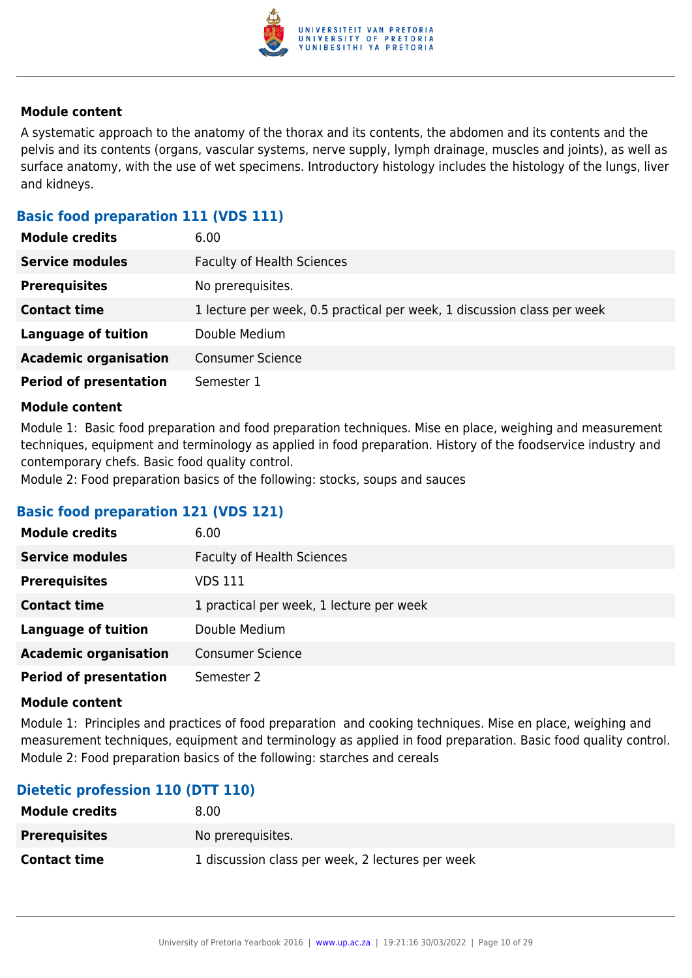

A systematic approach to the anatomy of the thorax and its contents, the abdomen and its contents and the pelvis and its contents (organs, vascular systems, nerve supply, lymph drainage, muscles and joints), as well as surface anatomy, with the use of wet specimens. Introductory histology includes the histology of the lungs, liver and kidneys.

#### **Basic food preparation 111 (VDS 111)**

| <b>Module credits</b>         | 6.00                                                                    |
|-------------------------------|-------------------------------------------------------------------------|
| <b>Service modules</b>        | <b>Faculty of Health Sciences</b>                                       |
| <b>Prerequisites</b>          | No prerequisites.                                                       |
| <b>Contact time</b>           | 1 lecture per week, 0.5 practical per week, 1 discussion class per week |
| <b>Language of tuition</b>    | Double Medium                                                           |
| <b>Academic organisation</b>  | <b>Consumer Science</b>                                                 |
| <b>Period of presentation</b> | Semester 1                                                              |

#### **Module content**

Module 1: Basic food preparation and food preparation techniques. Mise en place, weighing and measurement techniques, equipment and terminology as applied in food preparation. History of the foodservice industry and contemporary chefs. Basic food quality control.

Module 2: Food preparation basics of the following: stocks, soups and sauces

#### **Basic food preparation 121 (VDS 121)**

| <b>Module credits</b>         | 6.00                                     |
|-------------------------------|------------------------------------------|
| <b>Service modules</b>        | <b>Faculty of Health Sciences</b>        |
| <b>Prerequisites</b>          | VDS 111                                  |
| <b>Contact time</b>           | 1 practical per week, 1 lecture per week |
| <b>Language of tuition</b>    | Double Medium                            |
| <b>Academic organisation</b>  | <b>Consumer Science</b>                  |
| <b>Period of presentation</b> | Semester 2                               |

#### **Module content**

Module 1: Principles and practices of food preparation and cooking techniques. Mise en place, weighing and measurement techniques, equipment and terminology as applied in food preparation. Basic food quality control. Module 2: Food preparation basics of the following: starches and cereals

#### **Dietetic profession 110 (DTT 110)**

| <b>Module credits</b> | 8.00                                             |
|-----------------------|--------------------------------------------------|
| <b>Prerequisites</b>  | No prereguisites.                                |
| <b>Contact time</b>   | 1 discussion class per week, 2 lectures per week |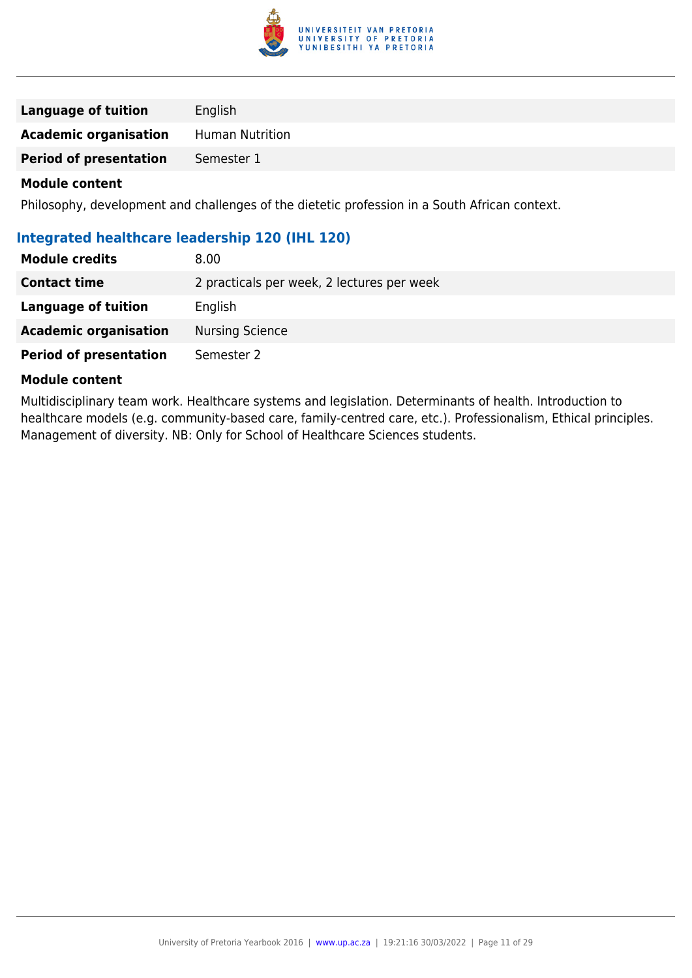

| English<br>Language of tuition                  |  |
|-------------------------------------------------|--|
| <b>Academic organisation</b><br>Human Nutrition |  |
| <b>Period of presentation</b><br>Semester 1     |  |

Philosophy, development and challenges of the dietetic profession in a South African context.

| Integrated healthcare leadership 120 (IHL 120) |                                            |
|------------------------------------------------|--------------------------------------------|
| <b>Module credits</b>                          | 8.00                                       |
| <b>Contact time</b>                            | 2 practicals per week, 2 lectures per week |
| Language of tuition                            | English                                    |
| <b>Academic organisation</b>                   | <b>Nursing Science</b>                     |
| <b>Period of presentation</b>                  | Semester 2                                 |

#### **Module content**

Multidisciplinary team work. Healthcare systems and legislation. Determinants of health. Introduction to healthcare models (e.g. community-based care, family-centred care, etc.). Professionalism, Ethical principles. Management of diversity. NB: Only for School of Healthcare Sciences students.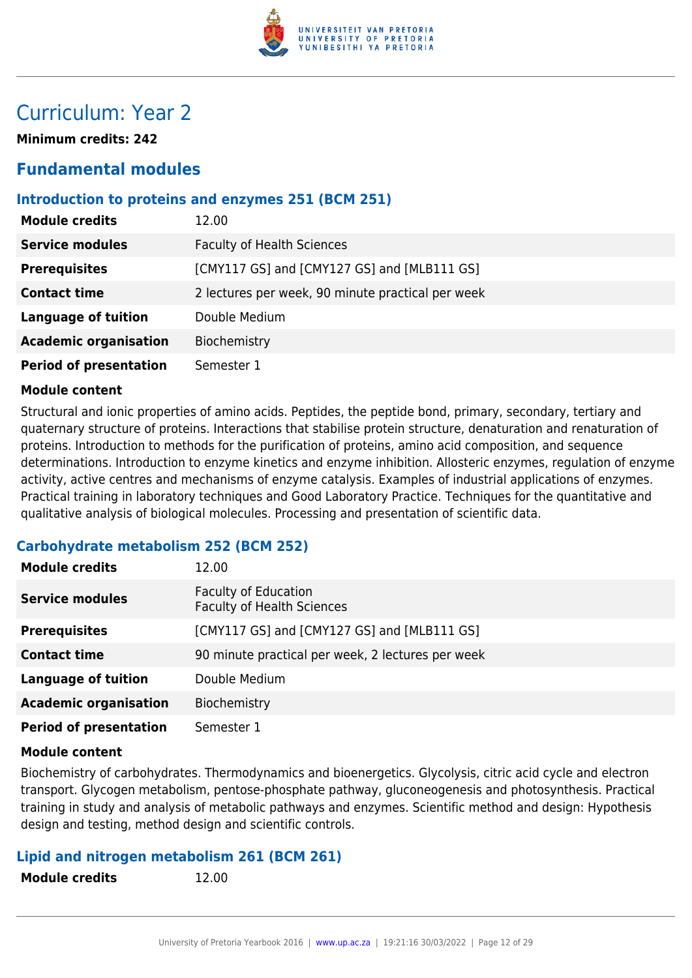

# Curriculum: Year 2

**Minimum credits: 242**

### **Fundamental modules**

#### **Introduction to proteins and enzymes 251 (BCM 251)**

| <b>Module credits</b>         | 12.00                                             |
|-------------------------------|---------------------------------------------------|
| <b>Service modules</b>        | <b>Faculty of Health Sciences</b>                 |
| <b>Prerequisites</b>          | [CMY117 GS] and [CMY127 GS] and [MLB111 GS]       |
| <b>Contact time</b>           | 2 lectures per week, 90 minute practical per week |
| <b>Language of tuition</b>    | Double Medium                                     |
| <b>Academic organisation</b>  | Biochemistry                                      |
| <b>Period of presentation</b> | Semester 1                                        |

#### **Module content**

Structural and ionic properties of amino acids. Peptides, the peptide bond, primary, secondary, tertiary and quaternary structure of proteins. Interactions that stabilise protein structure, denaturation and renaturation of proteins. Introduction to methods for the purification of proteins, amino acid composition, and sequence determinations. Introduction to enzyme kinetics and enzyme inhibition. Allosteric enzymes, regulation of enzyme activity, active centres and mechanisms of enzyme catalysis. Examples of industrial applications of enzymes. Practical training in laboratory techniques and Good Laboratory Practice. Techniques for the quantitative and qualitative analysis of biological molecules. Processing and presentation of scientific data.

#### **Carbohydrate metabolism 252 (BCM 252)**

| <b>Module credits</b>         | 12.00                                                            |
|-------------------------------|------------------------------------------------------------------|
| <b>Service modules</b>        | <b>Faculty of Education</b><br><b>Faculty of Health Sciences</b> |
| <b>Prerequisites</b>          | [CMY117 GS] and [CMY127 GS] and [MLB111 GS]                      |
| <b>Contact time</b>           | 90 minute practical per week, 2 lectures per week                |
| <b>Language of tuition</b>    | Double Medium                                                    |
| <b>Academic organisation</b>  | Biochemistry                                                     |
| <b>Period of presentation</b> | Semester 1                                                       |

#### **Module content**

Biochemistry of carbohydrates. Thermodynamics and bioenergetics. Glycolysis, citric acid cycle and electron transport. Glycogen metabolism, pentose-phosphate pathway, gluconeogenesis and photosynthesis. Practical training in study and analysis of metabolic pathways and enzymes. Scientific method and design: Hypothesis design and testing, method design and scientific controls.

#### **Lipid and nitrogen metabolism 261 (BCM 261)**

**Module credits** 12.00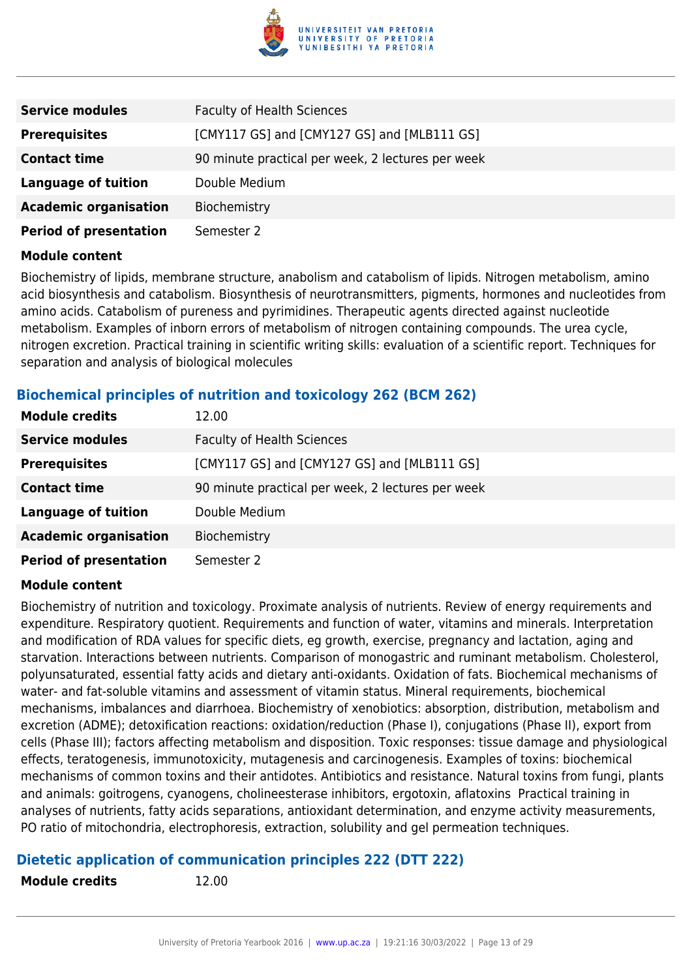

| <b>Service modules</b>        | <b>Faculty of Health Sciences</b>                 |
|-------------------------------|---------------------------------------------------|
| <b>Prerequisites</b>          | [CMY117 GS] and [CMY127 GS] and [MLB111 GS]       |
| <b>Contact time</b>           | 90 minute practical per week, 2 lectures per week |
| <b>Language of tuition</b>    | Double Medium                                     |
| <b>Academic organisation</b>  | Biochemistry                                      |
| <b>Period of presentation</b> | Semester 2                                        |

Biochemistry of lipids, membrane structure, anabolism and catabolism of lipids. Nitrogen metabolism, amino acid biosynthesis and catabolism. Biosynthesis of neurotransmitters, pigments, hormones and nucleotides from amino acids. Catabolism of pureness and pyrimidines. Therapeutic agents directed against nucleotide metabolism. Examples of inborn errors of metabolism of nitrogen containing compounds. The urea cycle, nitrogen excretion. Practical training in scientific writing skills: evaluation of a scientific report. Techniques for separation and analysis of biological molecules

#### **Biochemical principles of nutrition and toxicology 262 (BCM 262)**

| <b>Module credits</b>         | 12.00                                             |
|-------------------------------|---------------------------------------------------|
| <b>Service modules</b>        | <b>Faculty of Health Sciences</b>                 |
| <b>Prerequisites</b>          | [CMY117 GS] and [CMY127 GS] and [MLB111 GS]       |
| <b>Contact time</b>           | 90 minute practical per week, 2 lectures per week |
| <b>Language of tuition</b>    | Double Medium                                     |
| <b>Academic organisation</b>  | Biochemistry                                      |
| <b>Period of presentation</b> | Semester 2                                        |

#### **Module content**

Biochemistry of nutrition and toxicology. Proximate analysis of nutrients. Review of energy requirements and expenditure. Respiratory quotient. Requirements and function of water, vitamins and minerals. Interpretation and modification of RDA values for specific diets, eg growth, exercise, pregnancy and lactation, aging and starvation. Interactions between nutrients. Comparison of monogastric and ruminant metabolism. Cholesterol, polyunsaturated, essential fatty acids and dietary anti-oxidants. Oxidation of fats. Biochemical mechanisms of water- and fat-soluble vitamins and assessment of vitamin status. Mineral requirements, biochemical mechanisms, imbalances and diarrhoea. Biochemistry of xenobiotics: absorption, distribution, metabolism and excretion (ADME); detoxification reactions: oxidation/reduction (Phase I), conjugations (Phase II), export from cells (Phase III); factors affecting metabolism and disposition. Toxic responses: tissue damage and physiological effects, teratogenesis, immunotoxicity, mutagenesis and carcinogenesis. Examples of toxins: biochemical mechanisms of common toxins and their antidotes. Antibiotics and resistance. Natural toxins from fungi, plants and animals: goitrogens, cyanogens, cholineesterase inhibitors, ergotoxin, aflatoxins Practical training in analyses of nutrients, fatty acids separations, antioxidant determination, and enzyme activity measurements, PO ratio of mitochondria, electrophoresis, extraction, solubility and gel permeation techniques.

#### **Dietetic application of communication principles 222 (DTT 222)**

**Module credits** 12.00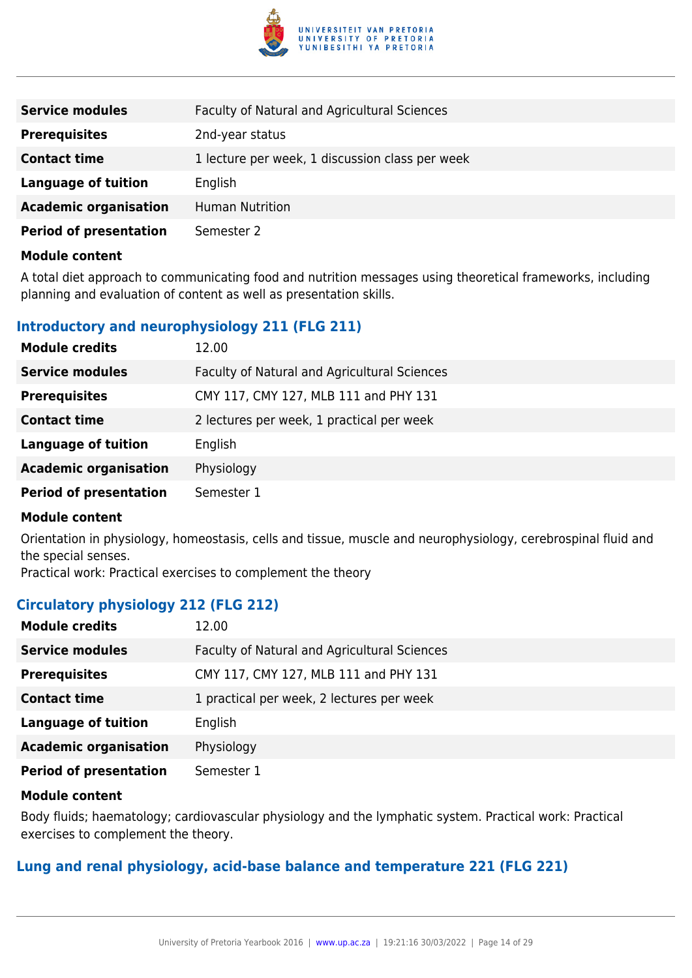

| <b>Service modules</b>        | Faculty of Natural and Agricultural Sciences    |
|-------------------------------|-------------------------------------------------|
| <b>Prerequisites</b>          | 2nd-year status                                 |
| <b>Contact time</b>           | 1 lecture per week, 1 discussion class per week |
| <b>Language of tuition</b>    | English                                         |
| <b>Academic organisation</b>  | <b>Human Nutrition</b>                          |
| <b>Period of presentation</b> | Semester 2                                      |

A total diet approach to communicating food and nutrition messages using theoretical frameworks, including planning and evaluation of content as well as presentation skills.

#### **Introductory and neurophysiology 211 (FLG 211)**

| <b>Module credits</b>         | 12.00                                        |
|-------------------------------|----------------------------------------------|
| <b>Service modules</b>        | Faculty of Natural and Agricultural Sciences |
| <b>Prerequisites</b>          | CMY 117, CMY 127, MLB 111 and PHY 131        |
| <b>Contact time</b>           | 2 lectures per week, 1 practical per week    |
| <b>Language of tuition</b>    | English                                      |
| <b>Academic organisation</b>  | Physiology                                   |
| <b>Period of presentation</b> | Semester 1                                   |

#### **Module content**

Orientation in physiology, homeostasis, cells and tissue, muscle and neurophysiology, cerebrospinal fluid and the special senses.

Practical work: Practical exercises to complement the theory

#### **Circulatory physiology 212 (FLG 212)**

| <b>Module credits</b>         | 12.00                                        |
|-------------------------------|----------------------------------------------|
| <b>Service modules</b>        | Faculty of Natural and Agricultural Sciences |
| <b>Prerequisites</b>          | CMY 117, CMY 127, MLB 111 and PHY 131        |
| <b>Contact time</b>           | 1 practical per week, 2 lectures per week    |
| <b>Language of tuition</b>    | English                                      |
| <b>Academic organisation</b>  | Physiology                                   |
| <b>Period of presentation</b> | Semester 1                                   |

#### **Module content**

Body fluids; haematology; cardiovascular physiology and the lymphatic system. Practical work: Practical exercises to complement the theory.

#### **Lung and renal physiology, acid-base balance and temperature 221 (FLG 221)**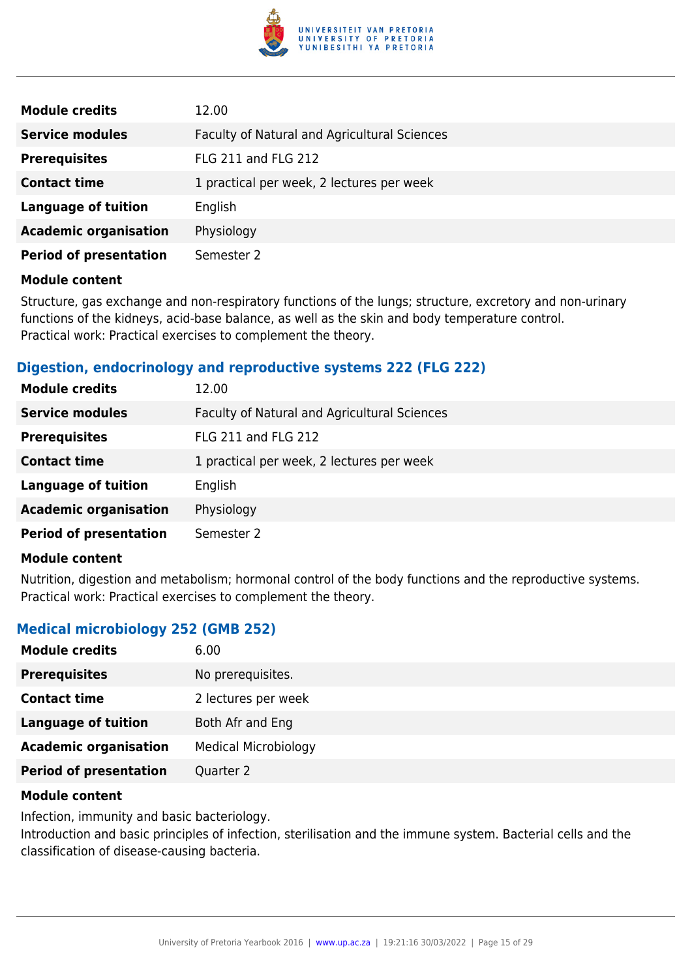

| <b>Module credits</b>         | 12.00                                        |
|-------------------------------|----------------------------------------------|
| <b>Service modules</b>        | Faculty of Natural and Agricultural Sciences |
| <b>Prerequisites</b>          | <b>FLG 211 and FLG 212</b>                   |
| <b>Contact time</b>           | 1 practical per week, 2 lectures per week    |
| <b>Language of tuition</b>    | English                                      |
| <b>Academic organisation</b>  | Physiology                                   |
| <b>Period of presentation</b> | Semester 2                                   |

Structure, gas exchange and non-respiratory functions of the lungs; structure, excretory and non-urinary functions of the kidneys, acid-base balance, as well as the skin and body temperature control. Practical work: Practical exercises to complement the theory.

#### **Digestion, endocrinology and reproductive systems 222 (FLG 222)**

| <b>Module credits</b>         | 12.00                                        |
|-------------------------------|----------------------------------------------|
| <b>Service modules</b>        | Faculty of Natural and Agricultural Sciences |
| <b>Prerequisites</b>          | <b>FLG 211 and FLG 212</b>                   |
| <b>Contact time</b>           | 1 practical per week, 2 lectures per week    |
| <b>Language of tuition</b>    | English                                      |
| <b>Academic organisation</b>  | Physiology                                   |
| <b>Period of presentation</b> | Semester 2                                   |

#### **Module content**

Nutrition, digestion and metabolism; hormonal control of the body functions and the reproductive systems. Practical work: Practical exercises to complement the theory.

#### **Medical microbiology 252 (GMB 252)**

| <b>Module credits</b>         | 6.00                        |
|-------------------------------|-----------------------------|
| <b>Prerequisites</b>          | No prerequisites.           |
| <b>Contact time</b>           | 2 lectures per week         |
| Language of tuition           | Both Afr and Eng            |
| <b>Academic organisation</b>  | <b>Medical Microbiology</b> |
| <b>Period of presentation</b> | Quarter 2                   |

#### **Module content**

Infection, immunity and basic bacteriology.

Introduction and basic principles of infection, sterilisation and the immune system. Bacterial cells and the classification of disease-causing bacteria.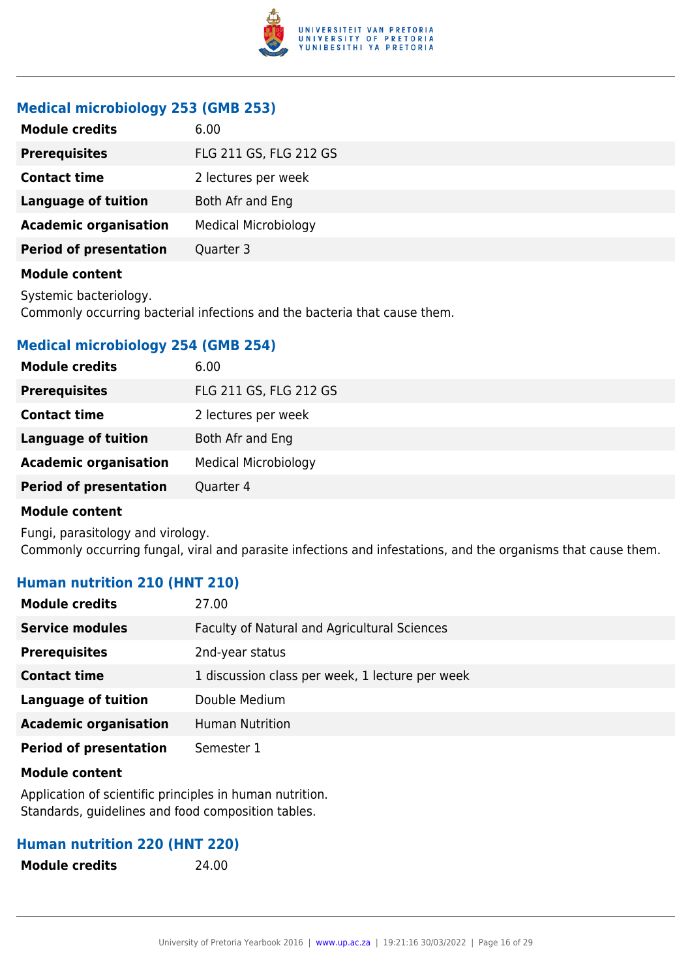

#### **Medical microbiology 253 (GMB 253)**

| <b>Module credits</b>         | 6.00                        |
|-------------------------------|-----------------------------|
| <b>Prerequisites</b>          | FLG 211 GS, FLG 212 GS      |
| <b>Contact time</b>           | 2 lectures per week         |
| <b>Language of tuition</b>    | Both Afr and Eng            |
| <b>Academic organisation</b>  | <b>Medical Microbiology</b> |
| <b>Period of presentation</b> | Quarter 3                   |
|                               |                             |

#### **Module content**

Systemic bacteriology.

Commonly occurring bacterial infections and the bacteria that cause them.

### **Medical microbiology 254 (GMB 254)**

| <b>Module credits</b>         | 6.00                        |
|-------------------------------|-----------------------------|
| <b>Prerequisites</b>          | FLG 211 GS, FLG 212 GS      |
| <b>Contact time</b>           | 2 lectures per week         |
| <b>Language of tuition</b>    | Both Afr and Eng            |
| <b>Academic organisation</b>  | <b>Medical Microbiology</b> |
| <b>Period of presentation</b> | Quarter 4                   |

#### **Module content**

Fungi, parasitology and virology. Commonly occurring fungal, viral and parasite infections and infestations, and the organisms that cause them.

#### **Human nutrition 210 (HNT 210)**

| Module credits                | 27.00                                           |
|-------------------------------|-------------------------------------------------|
| <b>Service modules</b>        | Faculty of Natural and Agricultural Sciences    |
| <b>Prerequisites</b>          | 2nd-year status                                 |
| <b>Contact time</b>           | 1 discussion class per week, 1 lecture per week |
| <b>Language of tuition</b>    | Double Medium                                   |
| <b>Academic organisation</b>  | <b>Human Nutrition</b>                          |
| <b>Period of presentation</b> | Semester 1                                      |

#### **Module content**

Application of scientific principles in human nutrition. Standards, guidelines and food composition tables.

#### **Human nutrition 220 (HNT 220)**

**Module credits** 24.00

University of Pretoria Yearbook 2016 | [www.up.ac.za](https://www.google.com/) | 19:21:16 30/03/2022 | Page 16 of 29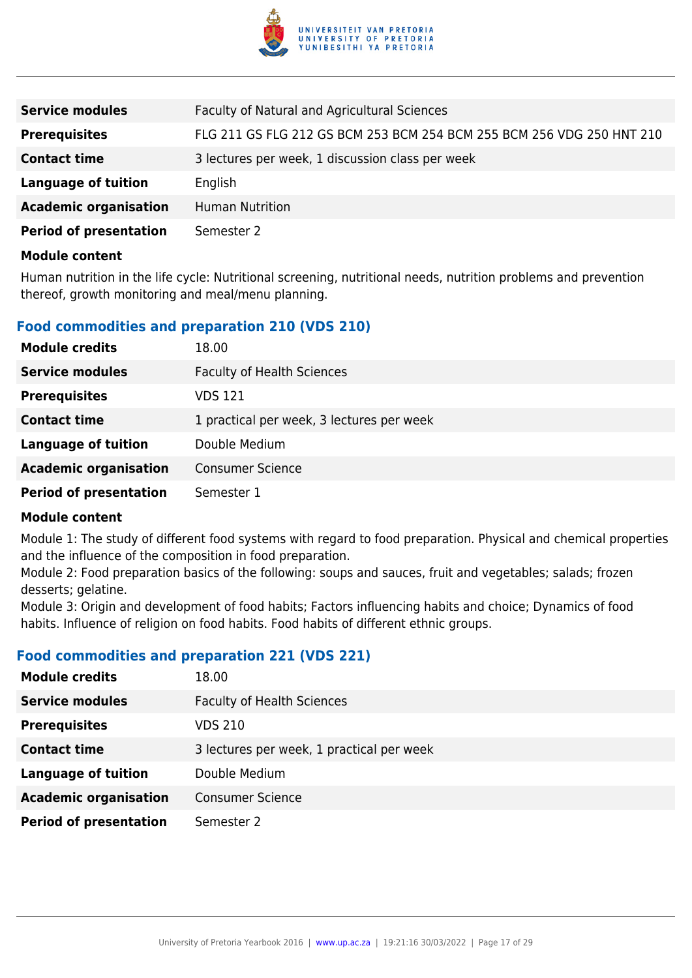

| <b>Service modules</b>        | Faculty of Natural and Agricultural Sciences                          |
|-------------------------------|-----------------------------------------------------------------------|
| <b>Prerequisites</b>          | FLG 211 GS FLG 212 GS BCM 253 BCM 254 BCM 255 BCM 256 VDG 250 HNT 210 |
| <b>Contact time</b>           | 3 lectures per week, 1 discussion class per week                      |
| <b>Language of tuition</b>    | English                                                               |
| <b>Academic organisation</b>  | <b>Human Nutrition</b>                                                |
| <b>Period of presentation</b> | Semester 2                                                            |
|                               |                                                                       |

Human nutrition in the life cycle: Nutritional screening, nutritional needs, nutrition problems and prevention thereof, growth monitoring and meal/menu planning.

#### **Food commodities and preparation 210 (VDS 210)**

| <b>Module credits</b>         | 18.00                                     |
|-------------------------------|-------------------------------------------|
| <b>Service modules</b>        | <b>Faculty of Health Sciences</b>         |
| <b>Prerequisites</b>          | VDS 121                                   |
| <b>Contact time</b>           | 1 practical per week, 3 lectures per week |
| <b>Language of tuition</b>    | Double Medium                             |
| <b>Academic organisation</b>  | <b>Consumer Science</b>                   |
| <b>Period of presentation</b> | Semester 1                                |

#### **Module content**

Module 1: The study of different food systems with regard to food preparation. Physical and chemical properties and the influence of the composition in food preparation.

Module 2: Food preparation basics of the following: soups and sauces, fruit and vegetables; salads; frozen desserts; gelatine.

Module 3: Origin and development of food habits; Factors influencing habits and choice; Dynamics of food habits. Influence of religion on food habits. Food habits of different ethnic groups.

#### **Food commodities and preparation 221 (VDS 221)**

| <b>Module credits</b>         | 18.00                                     |
|-------------------------------|-------------------------------------------|
| <b>Service modules</b>        | <b>Faculty of Health Sciences</b>         |
| <b>Prerequisites</b>          | <b>VDS 210</b>                            |
| <b>Contact time</b>           | 3 lectures per week, 1 practical per week |
| <b>Language of tuition</b>    | Double Medium                             |
| <b>Academic organisation</b>  | <b>Consumer Science</b>                   |
| <b>Period of presentation</b> | Semester 2                                |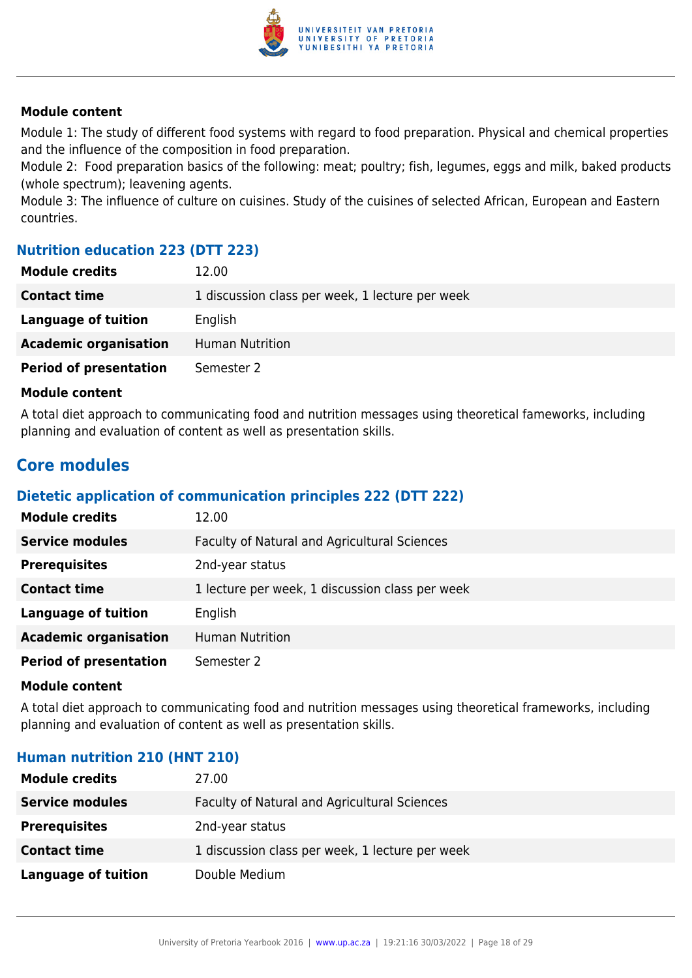

Module 1: The study of different food systems with regard to food preparation. Physical and chemical properties and the influence of the composition in food preparation.

Module 2: Food preparation basics of the following: meat; poultry; fish, legumes, eggs and milk, baked products (whole spectrum); leavening agents.

Module 3: The influence of culture on cuisines. Study of the cuisines of selected African, European and Eastern countries.

#### **Nutrition education 223 (DTT 223)**

| <b>Module credits</b>         | 12.00                                           |
|-------------------------------|-------------------------------------------------|
| <b>Contact time</b>           | 1 discussion class per week, 1 lecture per week |
| Language of tuition           | English                                         |
| <b>Academic organisation</b>  | <b>Human Nutrition</b>                          |
| <b>Period of presentation</b> | Semester 2                                      |

#### **Module content**

A total diet approach to communicating food and nutrition messages using theoretical fameworks, including planning and evaluation of content as well as presentation skills.

### **Core modules**

#### **Dietetic application of communication principles 222 (DTT 222)**

| <b>Module credits</b>         | 12.00                                           |
|-------------------------------|-------------------------------------------------|
| <b>Service modules</b>        | Faculty of Natural and Agricultural Sciences    |
| <b>Prerequisites</b>          | 2nd-year status                                 |
| <b>Contact time</b>           | 1 lecture per week, 1 discussion class per week |
| <b>Language of tuition</b>    | English                                         |
| <b>Academic organisation</b>  | <b>Human Nutrition</b>                          |
| <b>Period of presentation</b> | Semester 2                                      |

#### **Module content**

A total diet approach to communicating food and nutrition messages using theoretical frameworks, including planning and evaluation of content as well as presentation skills.

#### **Human nutrition 210 (HNT 210)**

| <b>Module credits</b>  | 27.00                                           |
|------------------------|-------------------------------------------------|
| <b>Service modules</b> | Faculty of Natural and Agricultural Sciences    |
| <b>Prerequisites</b>   | 2nd-year status                                 |
| <b>Contact time</b>    | 1 discussion class per week, 1 lecture per week |
| Language of tuition    | Double Medium                                   |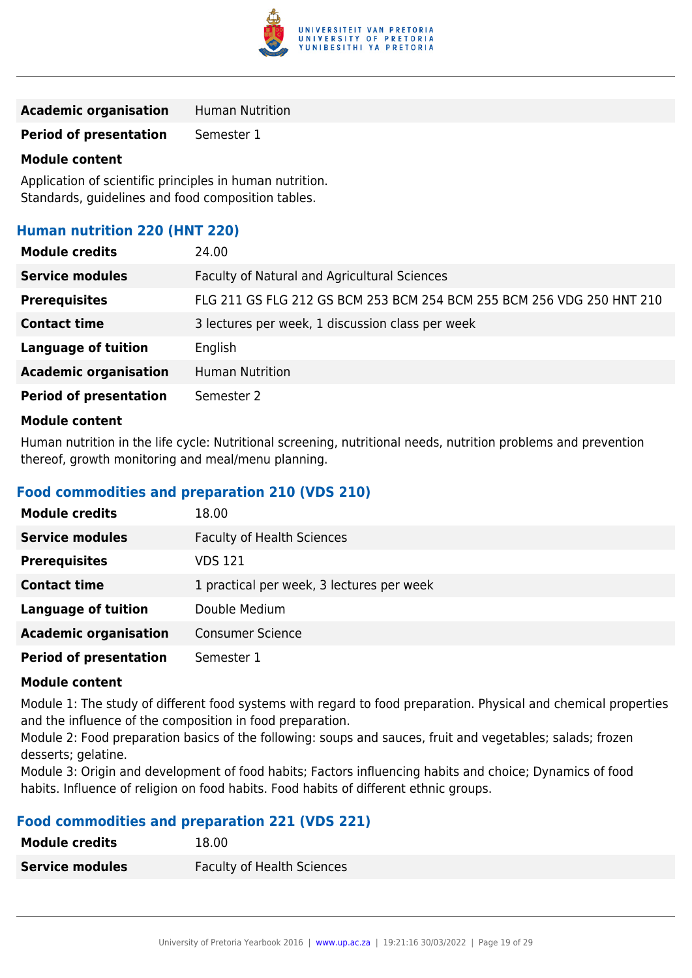

| <b>Academic organisation</b> | <b>Human Nutrition</b> |
|------------------------------|------------------------|
|------------------------------|------------------------|

**Period of presentation** Semester 1

#### **Module content**

Application of scientific principles in human nutrition. Standards, guidelines and food composition tables.

#### **Human nutrition 220 (HNT 220)**

| <b>Module credits</b>         | 24.00                                                                 |
|-------------------------------|-----------------------------------------------------------------------|
| <b>Service modules</b>        | Faculty of Natural and Agricultural Sciences                          |
| <b>Prerequisites</b>          | FLG 211 GS FLG 212 GS BCM 253 BCM 254 BCM 255 BCM 256 VDG 250 HNT 210 |
| <b>Contact time</b>           | 3 lectures per week, 1 discussion class per week                      |
| <b>Language of tuition</b>    | English                                                               |
| <b>Academic organisation</b>  | <b>Human Nutrition</b>                                                |
| <b>Period of presentation</b> | Semester 2                                                            |
|                               |                                                                       |

#### **Module content**

Human nutrition in the life cycle: Nutritional screening, nutritional needs, nutrition problems and prevention thereof, growth monitoring and meal/menu planning.

#### **Food commodities and preparation 210 (VDS 210)**

| <b>Module credits</b>         | 18.00                                     |
|-------------------------------|-------------------------------------------|
| <b>Service modules</b>        | <b>Faculty of Health Sciences</b>         |
| <b>Prerequisites</b>          | VDS 121                                   |
| <b>Contact time</b>           | 1 practical per week, 3 lectures per week |
| <b>Language of tuition</b>    | Double Medium                             |
| <b>Academic organisation</b>  | <b>Consumer Science</b>                   |
| <b>Period of presentation</b> | Semester 1                                |

#### **Module content**

Module 1: The study of different food systems with regard to food preparation. Physical and chemical properties and the influence of the composition in food preparation.

Module 2: Food preparation basics of the following: soups and sauces, fruit and vegetables; salads; frozen desserts; gelatine.

Module 3: Origin and development of food habits; Factors influencing habits and choice; Dynamics of food habits. Influence of religion on food habits. Food habits of different ethnic groups.

#### **Food commodities and preparation 221 (VDS 221)**

| <b>Module credits</b>  | 18.00                             |
|------------------------|-----------------------------------|
| <b>Service modules</b> | <b>Faculty of Health Sciences</b> |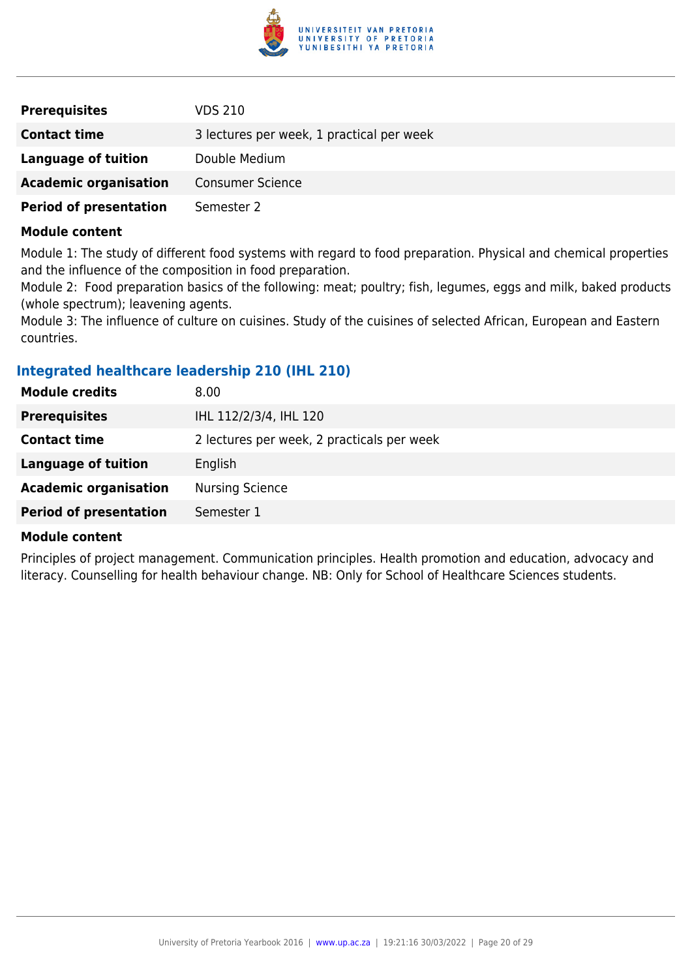

| <b>Prerequisites</b>          | <b>VDS 210</b>                            |
|-------------------------------|-------------------------------------------|
| <b>Contact time</b>           | 3 lectures per week, 1 practical per week |
| Language of tuition           | Double Medium                             |
| <b>Academic organisation</b>  | <b>Consumer Science</b>                   |
| <b>Period of presentation</b> | Semester 2                                |

Module 1: The study of different food systems with regard to food preparation. Physical and chemical properties and the influence of the composition in food preparation.

Module 2: Food preparation basics of the following: meat; poultry; fish, legumes, eggs and milk, baked products (whole spectrum); leavening agents.

Module 3: The influence of culture on cuisines. Study of the cuisines of selected African, European and Eastern countries.

#### **Integrated healthcare leadership 210 (IHL 210)**

| <b>Module credits</b>         | 8.00                                       |
|-------------------------------|--------------------------------------------|
| <b>Prerequisites</b>          | IHL 112/2/3/4, IHL 120                     |
| <b>Contact time</b>           | 2 lectures per week, 2 practicals per week |
| <b>Language of tuition</b>    | English                                    |
| <b>Academic organisation</b>  | <b>Nursing Science</b>                     |
| <b>Period of presentation</b> | Semester 1                                 |
|                               |                                            |

#### **Module content**

Principles of project management. Communication principles. Health promotion and education, advocacy and literacy. Counselling for health behaviour change. NB: Only for School of Healthcare Sciences students.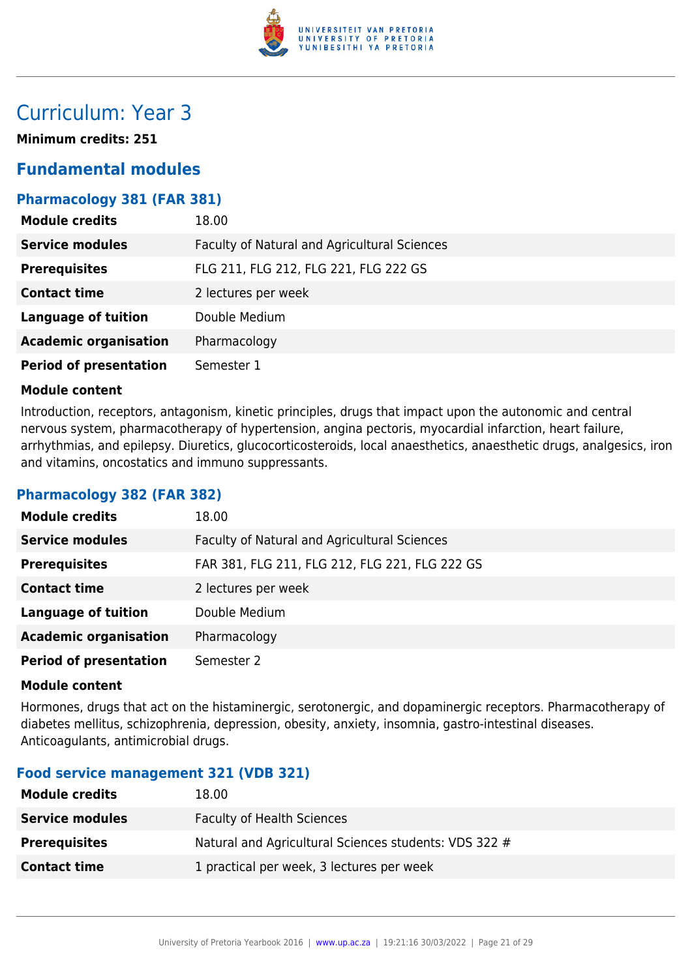

# Curriculum: Year 3

**Minimum credits: 251**

### **Fundamental modules**

#### **Pharmacology 381 (FAR 381)**

| <b>Module credits</b>         | 18.00                                        |
|-------------------------------|----------------------------------------------|
| <b>Service modules</b>        | Faculty of Natural and Agricultural Sciences |
| <b>Prerequisites</b>          | FLG 211, FLG 212, FLG 221, FLG 222 GS        |
| <b>Contact time</b>           | 2 lectures per week                          |
| <b>Language of tuition</b>    | Double Medium                                |
| <b>Academic organisation</b>  | Pharmacology                                 |
| <b>Period of presentation</b> | Semester 1                                   |

#### **Module content**

Introduction, receptors, antagonism, kinetic principles, drugs that impact upon the autonomic and central nervous system, pharmacotherapy of hypertension, angina pectoris, myocardial infarction, heart failure, arrhythmias, and epilepsy. Diuretics, glucocorticosteroids, local anaesthetics, anaesthetic drugs, analgesics, iron and vitamins, oncostatics and immuno suppressants.

#### **Pharmacology 382 (FAR 382)**

| <b>Module credits</b>         | 18.00                                          |
|-------------------------------|------------------------------------------------|
| <b>Service modules</b>        | Faculty of Natural and Agricultural Sciences   |
| <b>Prerequisites</b>          | FAR 381, FLG 211, FLG 212, FLG 221, FLG 222 GS |
| <b>Contact time</b>           | 2 lectures per week                            |
| <b>Language of tuition</b>    | Double Medium                                  |
| <b>Academic organisation</b>  | Pharmacology                                   |
| <b>Period of presentation</b> | Semester 2                                     |

#### **Module content**

Hormones, drugs that act on the histaminergic, serotonergic, and dopaminergic receptors. Pharmacotherapy of diabetes mellitus, schizophrenia, depression, obesity, anxiety, insomnia, gastro-intestinal diseases. Anticoagulants, antimicrobial drugs.

#### **Food service management 321 (VDB 321)**

| <b>Module credits</b>  | 18.00                                                 |
|------------------------|-------------------------------------------------------|
| <b>Service modules</b> | Faculty of Health Sciences                            |
| <b>Prerequisites</b>   | Natural and Agricultural Sciences students: VDS 322 # |
| <b>Contact time</b>    | 1 practical per week, 3 lectures per week             |
|                        |                                                       |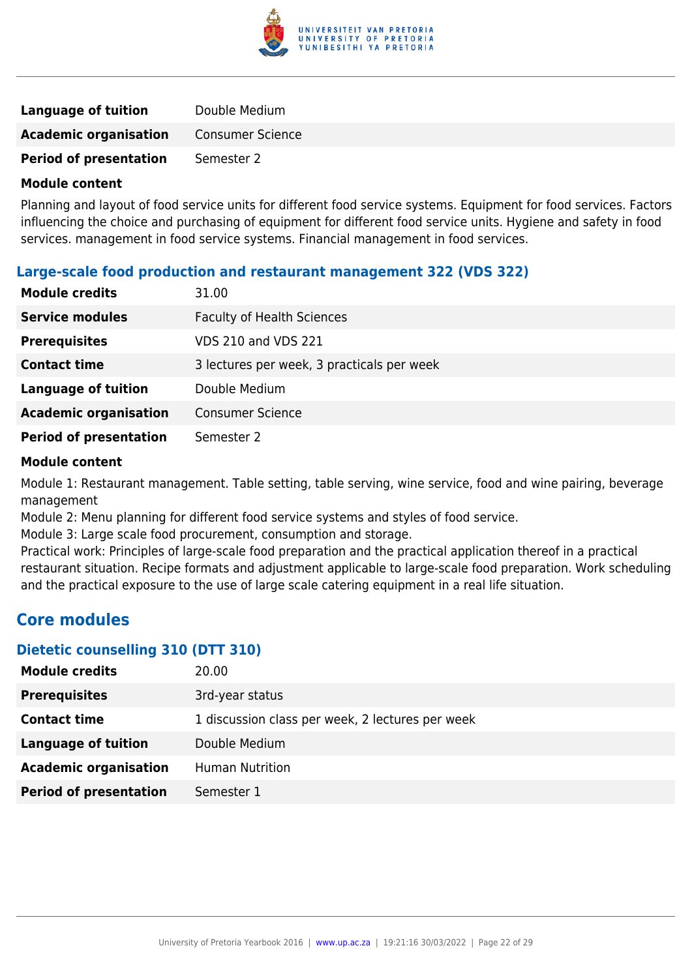

| Language of tuition           | Double Medium           |
|-------------------------------|-------------------------|
| <b>Academic organisation</b>  | <b>Consumer Science</b> |
| <b>Period of presentation</b> | Semester 2              |

Planning and layout of food service units for different food service systems. Equipment for food services. Factors influencing the choice and purchasing of equipment for different food service units. Hygiene and safety in food services. management in food service systems. Financial management in food services.

#### **Large-scale food production and restaurant management 322 (VDS 322)**

| <b>Module credits</b>         | 31.00                                      |
|-------------------------------|--------------------------------------------|
| <b>Service modules</b>        | <b>Faculty of Health Sciences</b>          |
| <b>Prerequisites</b>          | VDS 210 and VDS 221                        |
| <b>Contact time</b>           | 3 lectures per week, 3 practicals per week |
| <b>Language of tuition</b>    | Double Medium                              |
| <b>Academic organisation</b>  | <b>Consumer Science</b>                    |
| <b>Period of presentation</b> | Semester 2                                 |

#### **Module content**

Module 1: Restaurant management. Table setting, table serving, wine service, food and wine pairing, beverage management

Module 2: Menu planning for different food service systems and styles of food service.

Module 3: Large scale food procurement, consumption and storage.

Practical work: Principles of large-scale food preparation and the practical application thereof in a practical restaurant situation. Recipe formats and adjustment applicable to large-scale food preparation. Work scheduling and the practical exposure to the use of large scale catering equipment in a real life situation.

### **Core modules**

#### **Dietetic counselling 310 (DTT 310)**

| <b>Module credits</b>         | 20.00                                            |
|-------------------------------|--------------------------------------------------|
| <b>Prerequisites</b>          | 3rd-year status                                  |
| <b>Contact time</b>           | 1 discussion class per week, 2 lectures per week |
| Language of tuition           | Double Medium                                    |
| <b>Academic organisation</b>  | <b>Human Nutrition</b>                           |
| <b>Period of presentation</b> | Semester 1                                       |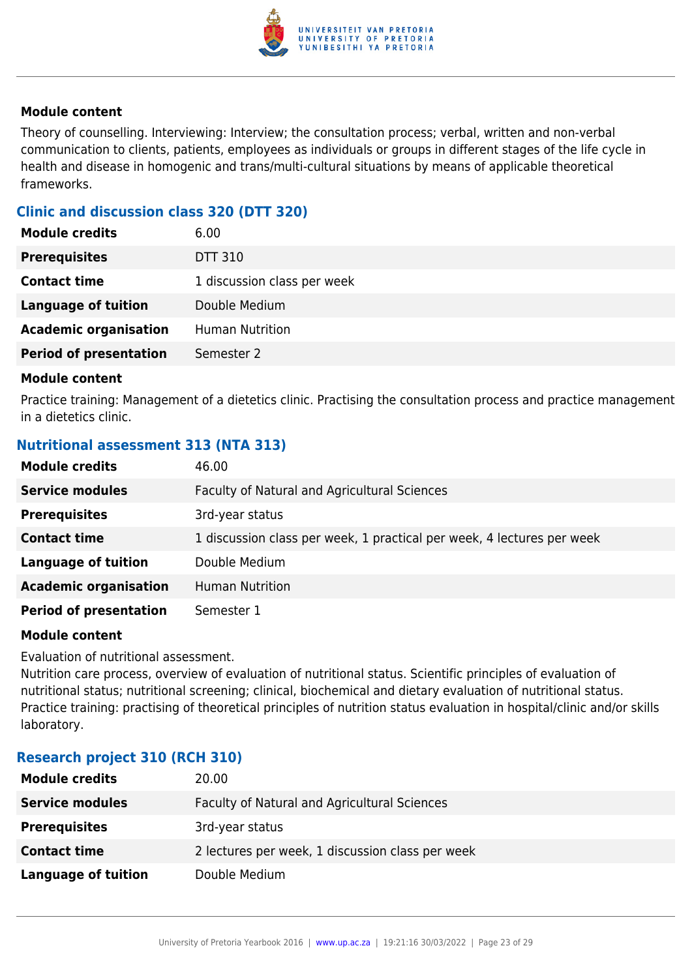

Theory of counselling. Interviewing: Interview; the consultation process; verbal, written and non-verbal communication to clients, patients, employees as individuals or groups in different stages of the life cycle in health and disease in homogenic and trans/multi-cultural situations by means of applicable theoretical frameworks.

#### **Clinic and discussion class 320 (DTT 320)**

| <b>Module credits</b>         | 6.00                        |
|-------------------------------|-----------------------------|
| <b>Prerequisites</b>          | DTT 310                     |
| <b>Contact time</b>           | 1 discussion class per week |
| <b>Language of tuition</b>    | Double Medium               |
| <b>Academic organisation</b>  | <b>Human Nutrition</b>      |
| <b>Period of presentation</b> | Semester 2                  |
|                               |                             |

#### **Module content**

Practice training: Management of a dietetics clinic. Practising the consultation process and practice management in a dietetics clinic.

#### **Nutritional assessment 313 (NTA 313)**

| <b>Module credits</b>         | 46.00                                                                  |
|-------------------------------|------------------------------------------------------------------------|
| <b>Service modules</b>        | Faculty of Natural and Agricultural Sciences                           |
| <b>Prerequisites</b>          | 3rd-year status                                                        |
| <b>Contact time</b>           | 1 discussion class per week, 1 practical per week, 4 lectures per week |
| <b>Language of tuition</b>    | Double Medium                                                          |
| <b>Academic organisation</b>  | <b>Human Nutrition</b>                                                 |
| <b>Period of presentation</b> | Semester 1                                                             |

#### **Module content**

Evaluation of nutritional assessment.

Nutrition care process, overview of evaluation of nutritional status. Scientific principles of evaluation of nutritional status; nutritional screening; clinical, biochemical and dietary evaluation of nutritional status. Practice training: practising of theoretical principles of nutrition status evaluation in hospital/clinic and/or skills laboratory.

#### **Research project 310 (RCH 310)**

| <b>Module credits</b>  | 20.00                                            |
|------------------------|--------------------------------------------------|
| <b>Service modules</b> | Faculty of Natural and Agricultural Sciences     |
| <b>Prerequisites</b>   | 3rd-year status                                  |
| <b>Contact time</b>    | 2 lectures per week, 1 discussion class per week |
| Language of tuition    | Double Medium                                    |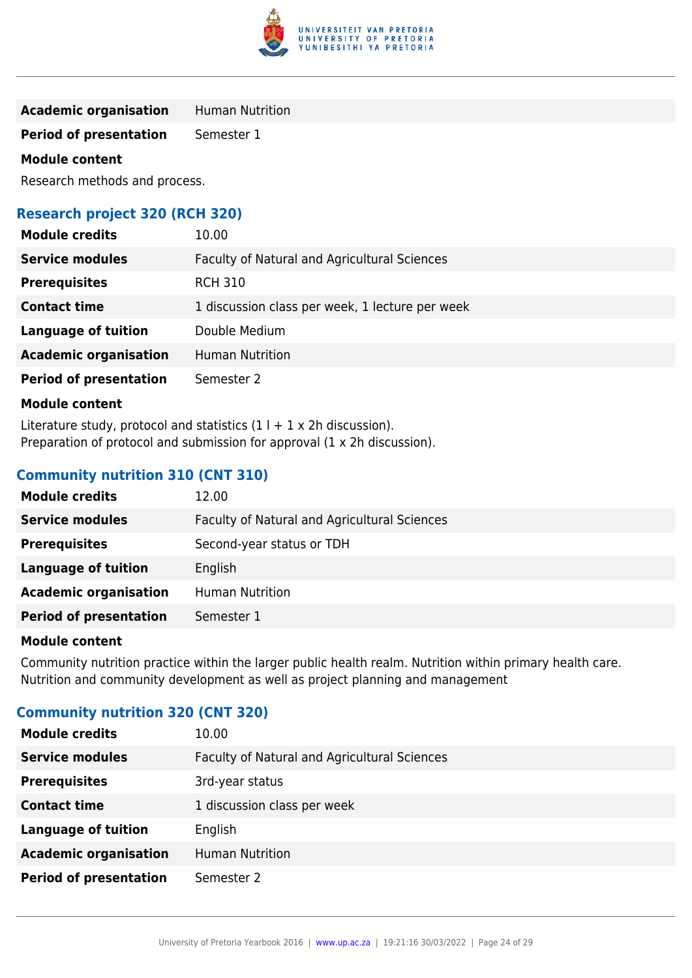

**Academic organisation** Human Nutrition

**Period of presentation** Semester 1

#### **Module content**

Research methods and process.

#### **Research project 320 (RCH 320)**

| <b>Module credits</b>         | 10.00                                           |
|-------------------------------|-------------------------------------------------|
| <b>Service modules</b>        | Faculty of Natural and Agricultural Sciences    |
| <b>Prerequisites</b>          | <b>RCH 310</b>                                  |
| <b>Contact time</b>           | 1 discussion class per week, 1 lecture per week |
| <b>Language of tuition</b>    | Double Medium                                   |
| <b>Academic organisation</b>  | <b>Human Nutrition</b>                          |
| <b>Period of presentation</b> | Semester 2                                      |

#### **Module content**

Literature study, protocol and statistics  $(1 + 1 \times 2)$ h discussion). Preparation of protocol and submission for approval (1 x 2h discussion).

#### **Community nutrition 310 (CNT 310)**

| <b>Module credits</b>         | 12.00                                        |
|-------------------------------|----------------------------------------------|
| <b>Service modules</b>        | Faculty of Natural and Agricultural Sciences |
| <b>Prerequisites</b>          | Second-year status or TDH                    |
| Language of tuition           | English                                      |
| <b>Academic organisation</b>  | <b>Human Nutrition</b>                       |
| <b>Period of presentation</b> | Semester 1                                   |

#### **Module content**

Community nutrition practice within the larger public health realm. Nutrition within primary health care. Nutrition and community development as well as project planning and management

### **Community nutrition 320 (CNT 320)**

| <b>Module credits</b>         | 10.00                                        |
|-------------------------------|----------------------------------------------|
| <b>Service modules</b>        | Faculty of Natural and Agricultural Sciences |
| <b>Prerequisites</b>          | 3rd-year status                              |
| <b>Contact time</b>           | 1 discussion class per week                  |
| <b>Language of tuition</b>    | English                                      |
| <b>Academic organisation</b>  | <b>Human Nutrition</b>                       |
| <b>Period of presentation</b> | Semester 2                                   |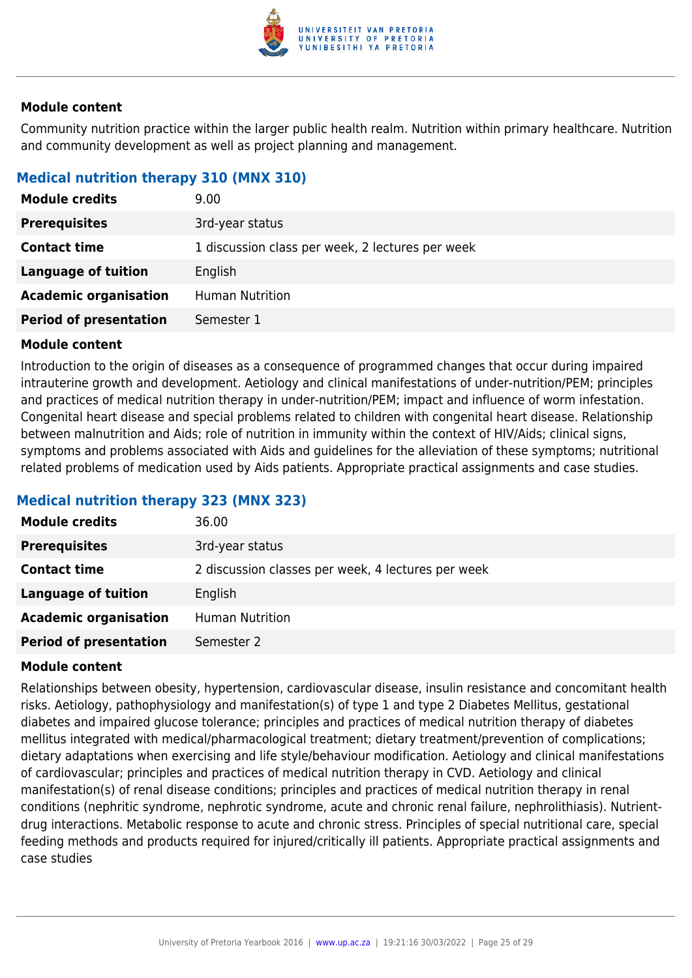

Community nutrition practice within the larger public health realm. Nutrition within primary healthcare. Nutrition and community development as well as project planning and management.

#### **Medical nutrition therapy 310 (MNX 310)**

| <b>Module credits</b>         | 9.00                                             |
|-------------------------------|--------------------------------------------------|
| <b>Prerequisites</b>          | 3rd-year status                                  |
| <b>Contact time</b>           | 1 discussion class per week, 2 lectures per week |
| <b>Language of tuition</b>    | English                                          |
| <b>Academic organisation</b>  | <b>Human Nutrition</b>                           |
| <b>Period of presentation</b> | Semester 1                                       |

#### **Module content**

Introduction to the origin of diseases as a consequence of programmed changes that occur during impaired intrauterine growth and development. Aetiology and clinical manifestations of under-nutrition/PEM; principles and practices of medical nutrition therapy in under-nutrition/PEM; impact and influence of worm infestation. Congenital heart disease and special problems related to children with congenital heart disease. Relationship between malnutrition and Aids; role of nutrition in immunity within the context of HIV/Aids; clinical signs, symptoms and problems associated with Aids and guidelines for the alleviation of these symptoms; nutritional related problems of medication used by Aids patients. Appropriate practical assignments and case studies.

#### **Medical nutrition therapy 323 (MNX 323)**

| <b>Module credits</b>         | 36.00                                              |
|-------------------------------|----------------------------------------------------|
| <b>Prerequisites</b>          | 3rd-year status                                    |
| <b>Contact time</b>           | 2 discussion classes per week, 4 lectures per week |
| Language of tuition           | English                                            |
| <b>Academic organisation</b>  | <b>Human Nutrition</b>                             |
| <b>Period of presentation</b> | Semester 2                                         |

#### **Module content**

Relationships between obesity, hypertension, cardiovascular disease, insulin resistance and concomitant health risks. Aetiology, pathophysiology and manifestation(s) of type 1 and type 2 Diabetes Mellitus, gestational diabetes and impaired glucose tolerance; principles and practices of medical nutrition therapy of diabetes mellitus integrated with medical/pharmacological treatment; dietary treatment/prevention of complications; dietary adaptations when exercising and life style/behaviour modification. Aetiology and clinical manifestations of cardiovascular; principles and practices of medical nutrition therapy in CVD. Aetiology and clinical manifestation(s) of renal disease conditions; principles and practices of medical nutrition therapy in renal conditions (nephritic syndrome, nephrotic syndrome, acute and chronic renal failure, nephrolithiasis). Nutrientdrug interactions. Metabolic response to acute and chronic stress. Principles of special nutritional care, special feeding methods and products required for injured/critically ill patients. Appropriate practical assignments and case studies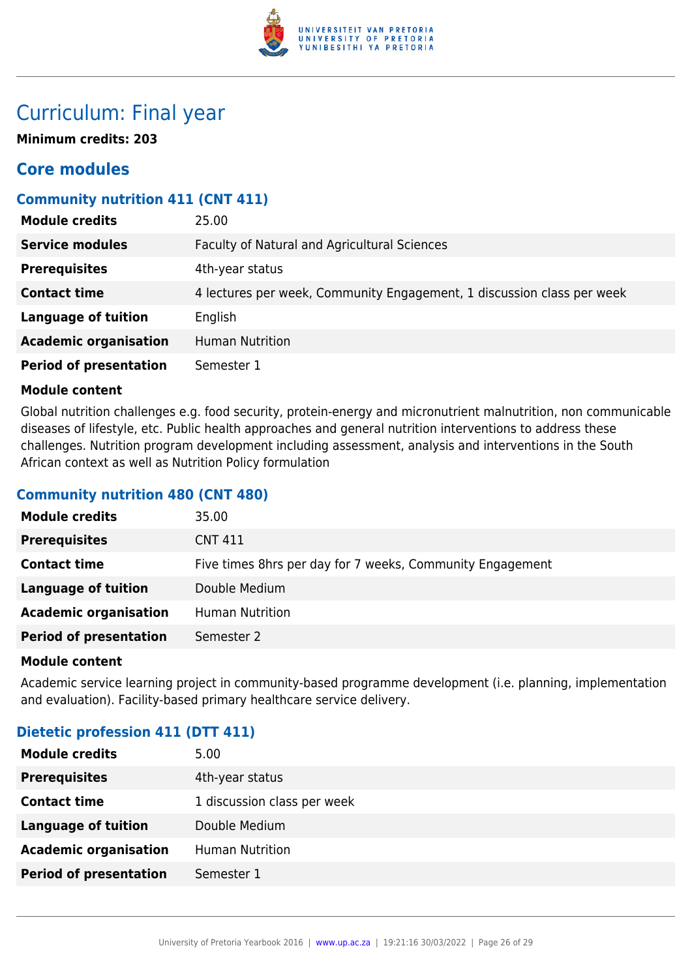

## Curriculum: Final year

**Minimum credits: 203**

### **Core modules**

#### **Community nutrition 411 (CNT 411)**

| <b>Module credits</b>         | 25.00                                                                  |
|-------------------------------|------------------------------------------------------------------------|
| <b>Service modules</b>        | Faculty of Natural and Agricultural Sciences                           |
| <b>Prerequisites</b>          | 4th-year status                                                        |
| <b>Contact time</b>           | 4 lectures per week, Community Engagement, 1 discussion class per week |
| <b>Language of tuition</b>    | English                                                                |
| <b>Academic organisation</b>  | <b>Human Nutrition</b>                                                 |
| <b>Period of presentation</b> | Semester 1                                                             |

#### **Module content**

Global nutrition challenges e.g. food security, protein-energy and micronutrient malnutrition, non communicable diseases of lifestyle, etc. Public health approaches and general nutrition interventions to address these challenges. Nutrition program development including assessment, analysis and interventions in the South African context as well as Nutrition Policy formulation

#### **Community nutrition 480 (CNT 480)**

| <b>Module credits</b>         | 35.00                                                     |
|-------------------------------|-----------------------------------------------------------|
| <b>Prerequisites</b>          | <b>CNT 411</b>                                            |
| <b>Contact time</b>           | Five times 8hrs per day for 7 weeks, Community Engagement |
| <b>Language of tuition</b>    | Double Medium                                             |
| <b>Academic organisation</b>  | <b>Human Nutrition</b>                                    |
| <b>Period of presentation</b> | Semester 2                                                |

#### **Module content**

Academic service learning project in community-based programme development (i.e. planning, implementation and evaluation). Facility-based primary healthcare service delivery.

#### **Dietetic profession 411 (DTT 411)**

| <b>Module credits</b>         | 5.00                        |
|-------------------------------|-----------------------------|
| <b>Prerequisites</b>          | 4th-year status             |
| <b>Contact time</b>           | 1 discussion class per week |
| <b>Language of tuition</b>    | Double Medium               |
| <b>Academic organisation</b>  | <b>Human Nutrition</b>      |
| <b>Period of presentation</b> | Semester 1                  |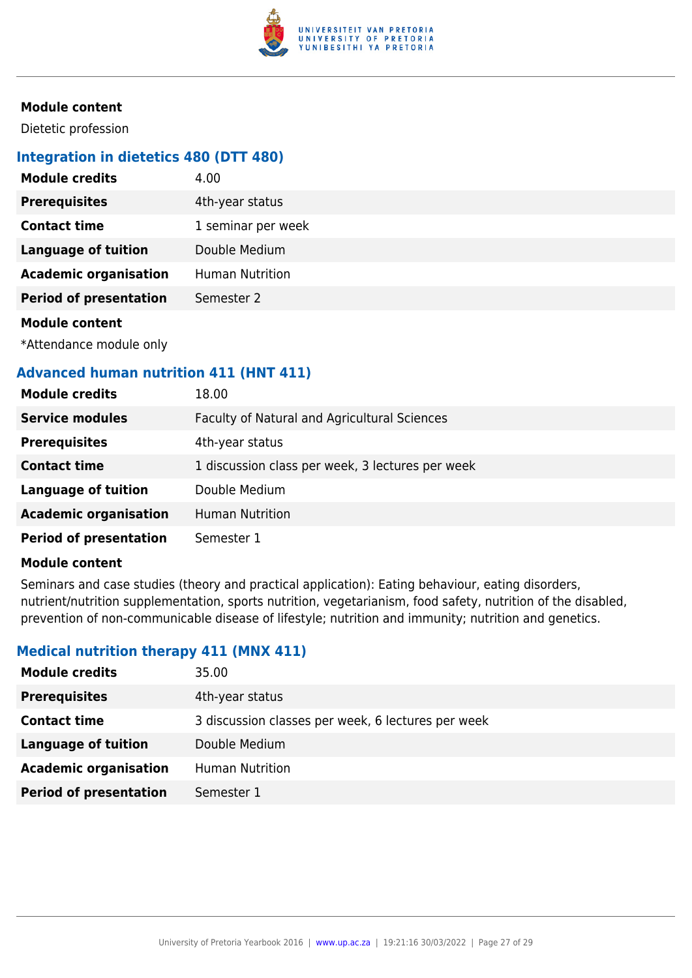

Dietetic profession

### **Integration in dietetics 480 (DTT 480)**

| <b>Module credits</b>                                                                                                                                                                                                                | 4.00                   |
|--------------------------------------------------------------------------------------------------------------------------------------------------------------------------------------------------------------------------------------|------------------------|
| <b>Prerequisites</b>                                                                                                                                                                                                                 | 4th-year status        |
| <b>Contact time</b>                                                                                                                                                                                                                  | 1 seminar per week     |
| <b>Language of tuition</b>                                                                                                                                                                                                           | Double Medium          |
| <b>Academic organisation</b>                                                                                                                                                                                                         | <b>Human Nutrition</b> |
| <b>Period of presentation</b>                                                                                                                                                                                                        | Semester 2             |
| <b>Address to the contract of the contract of the contract of the contract of the contract of the contract of the contract of the contract of the contract of the contract of the contract of the contract of the contract of th</b> |                        |

#### **Module content**

\*Attendance module only

#### **Advanced human nutrition 411 (HNT 411)**

| <b>Module credits</b>         | 18.00                                            |
|-------------------------------|--------------------------------------------------|
| <b>Service modules</b>        | Faculty of Natural and Agricultural Sciences     |
| <b>Prerequisites</b>          | 4th-year status                                  |
| <b>Contact time</b>           | 1 discussion class per week, 3 lectures per week |
| <b>Language of tuition</b>    | Double Medium                                    |
| <b>Academic organisation</b>  | <b>Human Nutrition</b>                           |
| <b>Period of presentation</b> | Semester 1                                       |

#### **Module content**

Seminars and case studies (theory and practical application): Eating behaviour, eating disorders, nutrient/nutrition supplementation, sports nutrition, vegetarianism, food safety, nutrition of the disabled, prevention of non-communicable disease of lifestyle; nutrition and immunity; nutrition and genetics.

#### **Medical nutrition therapy 411 (MNX 411)**

| <b>Module credits</b>         | 35.00                                              |
|-------------------------------|----------------------------------------------------|
| <b>Prerequisites</b>          | 4th-year status                                    |
| <b>Contact time</b>           | 3 discussion classes per week, 6 lectures per week |
| <b>Language of tuition</b>    | Double Medium                                      |
| <b>Academic organisation</b>  | <b>Human Nutrition</b>                             |
| <b>Period of presentation</b> | Semester 1                                         |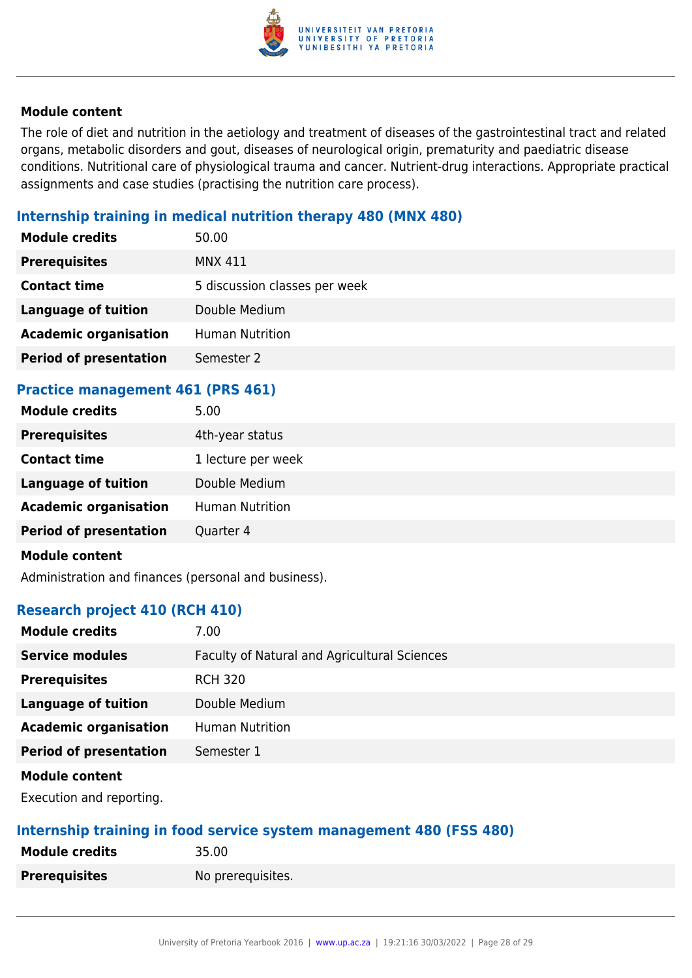

The role of diet and nutrition in the aetiology and treatment of diseases of the gastrointestinal tract and related organs, metabolic disorders and gout, diseases of neurological origin, prematurity and paediatric disease conditions. Nutritional care of physiological trauma and cancer. Nutrient-drug interactions. Appropriate practical assignments and case studies (practising the nutrition care process).

#### **Internship training in medical nutrition therapy 480 (MNX 480)**

| <b>Module credits</b>         | 50.00                         |
|-------------------------------|-------------------------------|
| <b>Prerequisites</b>          | <b>MNX 411</b>                |
| <b>Contact time</b>           | 5 discussion classes per week |
| <b>Language of tuition</b>    | Double Medium                 |
| <b>Academic organisation</b>  | <b>Human Nutrition</b>        |
| <b>Period of presentation</b> | Semester 2                    |

#### **Practice management 461 (PRS 461)**

| <b>Module credits</b>         | 5.00                   |
|-------------------------------|------------------------|
| <b>Prerequisites</b>          | 4th-year status        |
| <b>Contact time</b>           | 1 lecture per week     |
| <b>Language of tuition</b>    | Double Medium          |
| <b>Academic organisation</b>  | <b>Human Nutrition</b> |
| <b>Period of presentation</b> | Quarter 4              |
|                               |                        |

#### **Module content**

Administration and finances (personal and business).

#### **Research project 410 (RCH 410)**

| <b>Module credits</b>         | 7.00                                         |
|-------------------------------|----------------------------------------------|
| <b>Service modules</b>        | Faculty of Natural and Agricultural Sciences |
| <b>Prerequisites</b>          | <b>RCH 320</b>                               |
| <b>Language of tuition</b>    | Double Medium                                |
| <b>Academic organisation</b>  | <b>Human Nutrition</b>                       |
| <b>Period of presentation</b> | Semester 1                                   |
| <b>Module content</b>         |                                              |

Execution and reporting.

#### **Internship training in food service system management 480 (FSS 480)**

| <b>Module credits</b> | 35.00             |
|-----------------------|-------------------|
| <b>Prerequisites</b>  | No prerequisites. |